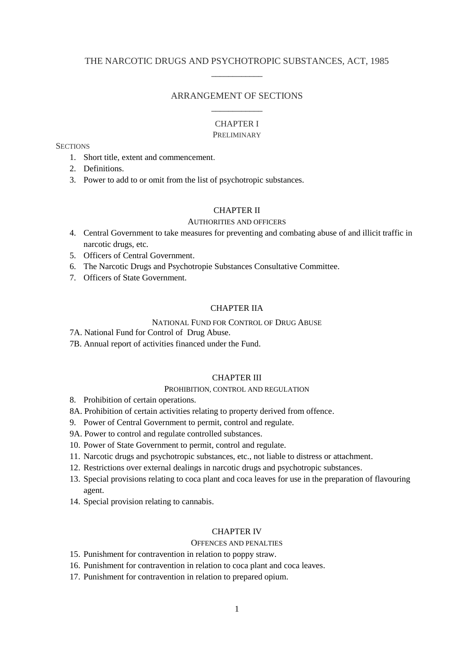# THE NARCOTIC DRUGS AND PSYCHOTROPIC SUBSTANCES, ACT, 1985 \_\_\_\_\_\_\_\_\_\_\_\_

# ARRANGEMENT OF SECTIONS \_\_\_\_\_\_\_\_\_\_\_\_

## CHAPTER I

### PRELIMINARY

**SECTIONS** 

- 1. Short title, extent and commencement.
- 2. Definitions.
- 3. Power to add to or omit from the list of psychotropic substances.

## CHAPTER II

#### AUTHORITIES AND OFFICERS

- 4. Central Government to take measures for preventing and combating abuse of and illicit traffic in narcotic drugs, etc.
- 5. Officers of Central Government.
- 6. The Narcotic Drugs and Psychotropie Substances Consultative Committee.
- 7. Officers of State Government.

### CHAPTER IIA

## NATIONAL FUND FOR CONTROL OF DRUG ABUSE

- 7A. National Fund for Control of Drug Abuse.
- 7B. Annual report of activities financed under the Fund.

# CHAPTER III

### PROHIBITION, CONTROL AND REGULATION

- 8. Prohibition of certain operations.
- 8A. Prohibition of certain activities relating to property derived from offence.
- 9. Power of Central Government to permit, control and regulate.
- 9A. Power to control and regulate controlled substances.
- 10. Power of State Government to permit, control and regulate.
- 11. Narcotic drugs and psychotropic substances, etc., not liable to distress or attachment.
- 12. Restrictions over external dealings in narcotic drugs and psychotropic substances.
- 13. Special provisions relating to coca plant and coca leaves for use in the preparation of flavouring agent.
- 14. Special provision relating to cannabis.

## CHAPTER IV

#### OFFENCES AND PENALTIES

- 15. Punishment for contravention in relation to poppy straw.
- 16. Punishment for contravention in relation to coca plant and coca leaves.
- 17. Punishment for contravention in relation to prepared opium.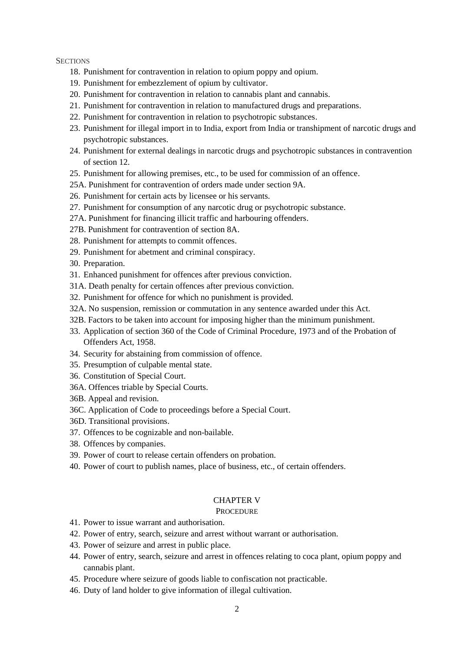#### **SECTIONS**

- 18. Punishment for contravention in relation to opium poppy and opium.
- 19. Punishment for embezzlement of opium by cultivator.
- 20. Punishment for contravention in relation to cannabis plant and cannabis.
- 21. Punishment for contravention in relation to manufactured drugs and preparations.
- 22. Punishment for contravention in relation to psychotropic substances.
- 23. Punishment for illegal import in to India, export from India or transhipment of narcotic drugs and psychotropic substances.
- 24. Punishment for external dealings in narcotic drugs and psychotropic substances in contravention of section 12.
- 25. Punishment for allowing premises, etc., to be used for commission of an offence.
- 25A. Punishment for contravention of orders made under section 9A.
- 26. Punishment for certain acts by licensee or his servants.
- 27. Punishment for consumption of any narcotic drug or psychotropic substance.
- 27A. Punishment for financing illicit traffic and harbouring offenders.
- 27B. Punishment for contravention of section 8A.
- 28. Punishment for attempts to commit offences.
- 29. Punishment for abetment and criminal conspiracy.
- 30. Preparation.
- 31. Enhanced punishment for offences after previous conviction.
- 31A. Death penalty for certain offences after previous conviction.
- 32. Punishment for offence for which no punishment is provided.
- 32A. No suspension, remission or commutation in any sentence awarded under this Act.
- 32B. Factors to be taken into account for imposing higher than the minimum punishment.
- 33. Application of section 360 of the Code of Criminal Procedure, 1973 and of the Probation of Offenders Act, 1958.
- 34. Security for abstaining from commission of offence.
- 35. Presumption of culpable mental state.
- 36. Constitution of Special Court.
- 36A. Offences triable by Special Courts.
- 36B. Appeal and revision.
- 36C. Application of Code to proceedings before a Special Court.
- 36D. Transitional provisions.
- 37. Offences to be cognizable and non-bailable.
- 38. Offences by companies.
- 39. Power of court to release certain offenders on probation.
- 40. Power of court to publish names, place of business, etc., of certain offenders.

## CHAPTER V

#### **PROCEDURE**

- 41. Power to issue warrant and authorisation.
- 42. Power of entry, search, seizure and arrest without warrant or authorisation.
- 43. Power of seizure and arrest in public place.
- 44. Power of entry, search, seizure and arrest in offences relating to coca plant, opium poppy and cannabis plant.
- 45. Procedure where seizure of goods liable to confiscation not practicable.
- 46. Duty of land holder to give information of illegal cultivation.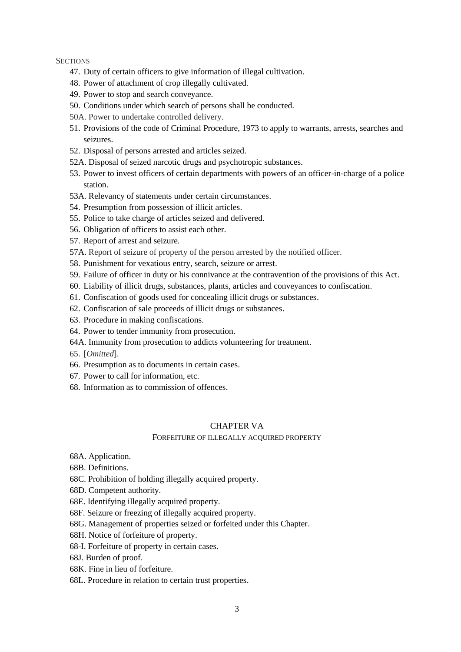## **SECTIONS**

- 47. Duty of certain officers to give information of illegal cultivation.
- 48. Power of attachment of crop illegally cultivated.
- 49. Power to stop and search conveyance.
- 50. Conditions under which search of persons shall be conducted.
- 50A. Power to undertake controlled delivery.
- 51. Provisions of the code of Criminal Procedure, 1973 to apply to warrants, arrests, searches and seizures.
- 52. Disposal of persons arrested and articles seized.
- 52A. Disposal of seized narcotic drugs and psychotropic substances.
- 53. Power to invest officers of certain departments with powers of an officer-in-charge of a police station.
- 53A. Relevancy of statements under certain circumstances.
- 54. Presumption from possession of illicit articles.
- 55. Police to take charge of articles seized and delivered.
- 56. Obligation of officers to assist each other.
- 57. Report of arrest and seizure.
- 57A. Report of seizure of property of the person arrested by the notified officer.
- 58. Punishment for vexatious entry, search, seizure or arrest.
- 59. Failure of officer in duty or his connivance at the contravention of the provisions of this Act.
- 60. Liability of illicit drugs, substances, plants, articles and conveyances to confiscation.
- 61. Confiscation of goods used for concealing illicit drugs or substances.
- 62. Confiscation of sale proceeds of illicit drugs or substances.
- 63. Procedure in making confiscations.
- 64. Power to tender immunity from prosecution.
- 64A. Immunity from prosecution to addicts volunteering for treatment.
- 65. [*Omitted*].
- 66. Presumption as to documents in certain cases.
- 67. Power to call for information, etc.
- 68. Information as to commission of offences.

### CHAPTER VA

### FORFEITURE OF ILLEGALLY ACQUIRED PROPERTY

- 68A. Application.
- 68B. Definitions.
- 68C. Prohibition of holding illegally acquired property.
- 68D. Competent authority.
- 68E. Identifying illegally acquired property.
- 68F. Seizure or freezing of illegally acquired property.
- 68G. Management of properties seized or forfeited under this Chapter.
- 68H. Notice of forfeiture of property.
- 68-I. Forfeiture of property in certain cases.
- 68J. Burden of proof.
- 68K. Fine in lieu of forfeiture.
- 68L. Procedure in relation to certain trust properties.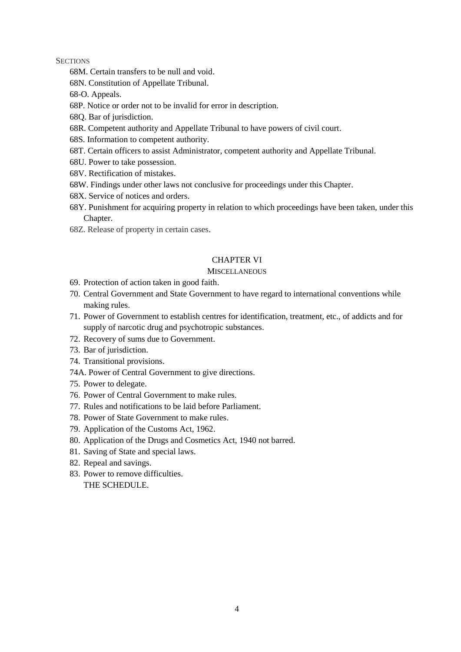### **SECTIONS**

- 68M. Certain transfers to be null and void.
- 68N. Constitution of Appellate Tribunal.
- 68-O. Appeals.
- 68P. Notice or order not to be invalid for error in description.
- 68Q. Bar of jurisdiction.
- 68R. Competent authority and Appellate Tribunal to have powers of civil court.
- 68S. Information to competent authority.
- 68T. Certain officers to assist Administrator, competent authority and Appellate Tribunal.
- 68U. Power to take possession.
- 68V. Rectification of mistakes.
- 68W. Findings under other laws not conclusive for proceedings under this Chapter.
- 68X. Service of notices and orders.
- 68Y. Punishment for acquiring property in relation to which proceedings have been taken, under this Chapter.
- 68Z. Release of property in certain cases.

# CHAPTER VI

### **MISCELLANEOUS**

- 69. Protection of action taken in good faith.
- 70. Central Government and State Government to have regard to international conventions while making rules.
- 71. Power of Government to establish centres for identification, treatment, etc., of addicts and for supply of narcotic drug and psychotropic substances.
- 72. Recovery of sums due to Government.
- 73. Bar of jurisdiction.
- 74. Transitional provisions.
- 74A. Power of Central Government to give directions.
- 75. Power to delegate.
- 76. Power of Central Government to make rules.
- 77. Rules and notifications to be laid before Parliament.
- 78. Power of State Government to make rules.
- 79. Application of the Customs Act, 1962.
- 80. Application of the Drugs and Cosmetics Act, 1940 not barred.
- 81. Saving of State and special laws.
- 82. Repeal and savings.
- 83. Power to remove difficulties. THE SCHEDULE.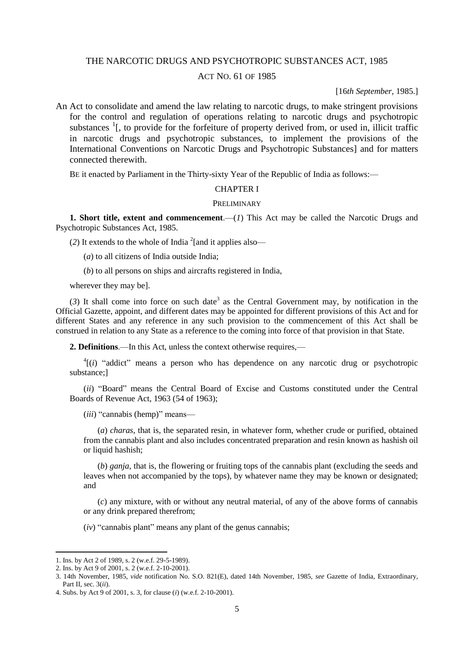## THE NARCOTIC DRUGS AND PSYCHOTROPIC SUBSTANCES ACT, 1985

## ACT NO. 61 OF 1985

#### [16*th September,* 1985.]

An Act to consolidate and amend the law relating to narcotic drugs, to make stringent provisions for the control and regulation of operations relating to narcotic drugs and psychotropic substances  $\frac{1}{1}$ , to provide for the forfeiture of property derived from, or used in, illicit traffic in narcotic drugs and psychotropic substances, to implement the provisions of the International Conventions on Narcotic Drugs and Psychotropic Substances] and for matters connected therewith.

BE it enacted by Parliament in the Thirty-sixty Year of the Republic of India as follows:—

### CHAPTER I

#### PRELIMINARY

**1. Short title, extent and commencement**.—(*1*) This Act may be called the Narcotic Drugs and Psychotropic Substances Act, 1985.

(2) It extends to the whole of India  $^{2}$ [and it applies also—

(*a*) to all citizens of India outside India;

(*b*) to all persons on ships and aircrafts registered in India,

wherever they may be].

 $(3)$  It shall come into force on such date<sup>3</sup> as the Central Government may, by notification in the Official Gazette, appoint, and different dates may be appointed for different provisions of this Act and for different States and any reference in any such provision to the commencement of this Act shall be construed in relation to any State as a reference to the coming into force of that provision in that State.

**2. Definitions**.—In this Act, unless the context otherwise requires,—

 ${}^{4}$ [(*i*) "addict" means a person who has dependence on any narcotic drug or psychotropic substance;]

(*ii*) "Board" means the Central Board of Excise and Customs constituted under the Central Boards of Revenue Act, 1963 (54 of 1963);

(*iii*) "cannabis (hemp)" means—

(*a*) *charas*, that is, the separated resin, in whatever form, whether crude or purified, obtained from the cannabis plant and also includes concentrated preparation and resin known as hashish oil or liquid hashish;

(*b*) *ganja*, that is, the flowering or fruiting tops of the cannabis plant (excluding the seeds and leaves when not accompanied by the tops), by whatever name they may be known or designated; and

(*c*) any mixture, with or without any neutral material, of any of the above forms of cannabis or any drink prepared therefrom;

(*iv*) "cannabis plant" means any plant of the genus cannabis;

<sup>1.</sup> Ins. by Act 2 of 1989, s. 2 (w.e.f. 29-5-1989).

<sup>2.</sup> Ins. by Act 9 of 2001, s. 2 (w.e.f. 2-10-2001).

<sup>3. 14</sup>th November, 1985, *vide* notification No. S.O. 821(E), dated 14th November, 1985, *see* Gazette of India, Extraordinary, Part II, sec. 3(*ii*).

<sup>4.</sup> Subs. by Act 9 of 2001, s. 3, for clause (*i*) (w.e.f. 2-10-2001).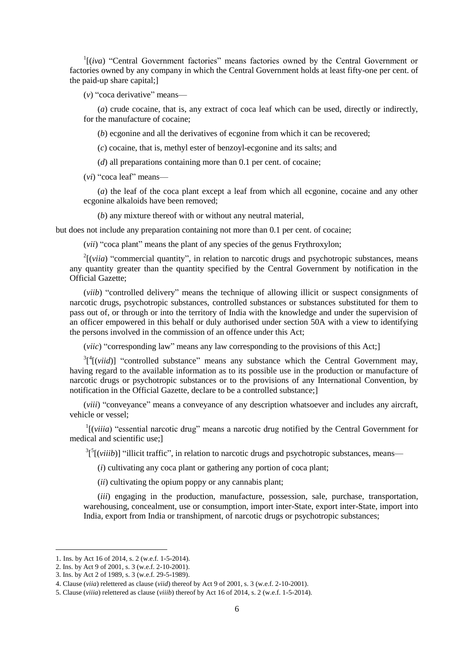<sup>1</sup>[(*iva*) "Central Government factories" means factories owned by the Central Government or factories owned by any company in which the Central Government holds at least fifty-one per cent. of the paid-up share capital;]

(*v*) "coca derivative" means—

(*a*) crude cocaine, that is, any extract of coca leaf which can be used, directly or indirectly, for the manufacture of cocaine;

(*b*) ecgonine and all the derivatives of ecgonine from which it can be recovered;

(*c*) cocaine, that is, methyl ester of benzoyl-ecgonine and its salts; and

(*d*) all preparations containing more than 0.1 per cent. of cocaine;

(*vi*) "coca leaf" means—

(*a*) the leaf of the coca plant except a leaf from which all ecgonine, cocaine and any other ecgonine alkaloids have been removed;

(*b*) any mixture thereof with or without any neutral material,

but does not include any preparation containing not more than 0.1 per cent. of cocaine;

(*vii*) "coca plant" means the plant of any species of the genus Frythroxylon;

 $2\left[\text{(via)}\right]$  "commercial quantity", in relation to narcotic drugs and psychotropic substances, means any quantity greater than the quantity specified by the Central Government by notification in the Official Gazette;

(*viib*) "controlled delivery" means the technique of allowing illicit or suspect consignments of narcotic drugs, psychotropic substances, controlled substances or substances substituted for them to pass out of, or through or into the territory of India with the knowledge and under the supervision of an officer empowered in this behalf or duly authorised under section 50A with a view to identifying the persons involved in the commission of an offence under this Act;

(*viic*) "corresponding law" means any law corresponding to the provisions of this Act;]

 $3\int_{0}^{3}[(viid)]$  "controlled substance" means any substance which the Central Government may, having regard to the available information as to its possible use in the production or manufacture of narcotic drugs or psychotropic substances or to the provisions of any International Convention, by notification in the Official Gazette, declare to be a controlled substance;]

(*viii*) "conveyance" means a conveyance of any description whatsoever and includes any aircraft, vehicle or vessel;

<sup>1</sup>[(*viiia*) "essential narcotic drug" means a narcotic drug notified by the Central Government for medical and scientific use;]

 ${}^{3}$ [<sup>5</sup>[(*viiib*)] "illicit traffic", in relation to narcotic drugs and psychotropic substances, means—

(*i*) cultivating any coca plant or gathering any portion of coca plant;

(*ii*) cultivating the opium poppy or any cannabis plant;

(*iii*) engaging in the production, manufacture, possession, sale, purchase, transportation, warehousing, concealment, use or consumption, import inter-State, export inter-State, import into India, export from India or transhipment, of narcotic drugs or psychotropic substances;

<sup>1</sup>. Ins. by Act 16 of 2014, s. 2 (w.e.f. 1-5-2014).

<sup>2.</sup> Ins. by Act 9 of 2001, s. 3 (w.e.f. 2-10-2001).

<sup>3.</sup> Ins. by Act 2 of 1989, s. 3 (w.e.f. 29-5-1989).

<sup>4</sup>. Clause (*viia*) relettered as clause (*viid*) thereof by Act 9 of 2001, s. 3 (w.e.f. 2-10-2001).

<sup>5.</sup> Clause (*viiia*) relettered as clause (*viiib*) thereof by Act 16 of 2014, s. 2 (w.e.f. 1-5-2014).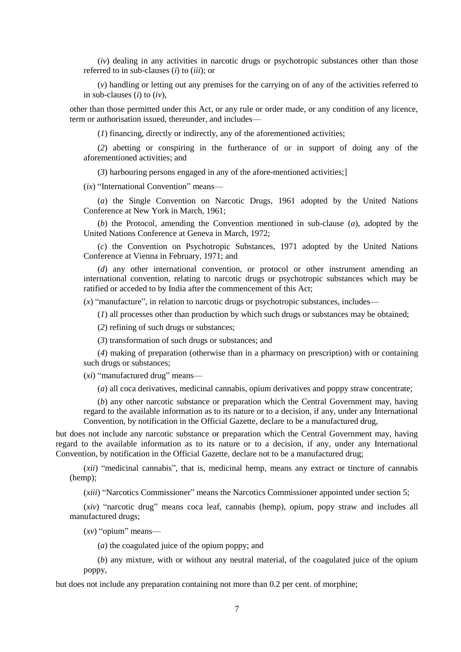(*iv*) dealing in any activities in narcotic drugs or psychotropic substances other than those referred to in sub-clauses (*i*) to (*iii*); or

(*v*) handling or letting out any premises for the carrying on of any of the activities referred to in sub-clauses (*i*) to (*iv*),

other than those permitted under this Act, or any rule or order made, or any condition of any licence, term or authorisation issued, thereunder, and includes—

(*1*) financing, directly or indirectly, any of the aforementioned activities;

(*2*) abetting or conspiring in the furtherance of or in support of doing any of the aforementioned activities; and

(*3*) harbouring persons engaged in any of the afore-mentioned activities;]

(*ix*) "International Convention" means—

(*a*) the Single Convention on Narcotic Drugs, 1961 adopted by the United Nations Conference at New York in March, 1961;

(*b*) the Protocol, amending the Convention mentioned in sub-clause (*a*), adopted by the United Nations Conference at Geneva in March, 1972;

(*c*) the Convention on Psychotropic Substances, 1971 adopted by the United Nations Conference at Vienna in February, 1971; and

(*d*) any other international convention, or protocol or other instrument amending an international convention, relating to narcotic drugs or psychotropic substances which may be ratified or acceded to by India after the commencement of this Act;

 $(x)$  "manufacture", in relation to narcotic drugs or psychotropic substances, includes—

(*1*) all processes other than production by which such drugs or substances may be obtained;

(*2*) refining of such drugs or substances;

(*3*) transformation of such drugs or substances; and

(*4*) making of preparation (otherwise than in a pharmacy on prescription) with or containing such drugs or substances;

(*xi*) "manufactured drug" means—

(*a*) all coca derivatives, medicinal cannabis, opium derivatives and poppy straw concentrate;

(*b*) any other narcotic substance or preparation which the Central Government may, having regard to the available information as to its nature or to a decision, if any, under any International Convention, by notification in the Official Gazette, declare to be a manufactured drug,

but does not include any narcotic substance or preparation which the Central Government may, having regard to the available information as to its nature or to a decision, if any, under any International Convention, by notification in the Official Gazette, declare not to be a manufactured drug;

(*xii*) "medicinal cannabis", that is, medicinal hemp, means any extract or tincture of cannabis (hemp);

(*xiii*) "Narcotics Commissioner" means the Narcotics Commissioner appointed under section 5;

(*xiv*) "narcotic drug" means coca leaf, cannabis (hemp), opium, popy straw and includes all manufactured drugs;

(*xv*) "opium" means—

(*a*) the coagulated juice of the opium poppy; and

(*b*) any mixture, with or without any neutral material, of the coagulated juice of the opium poppy,

but does not include any preparation containing not more than 0.2 per cent. of morphine;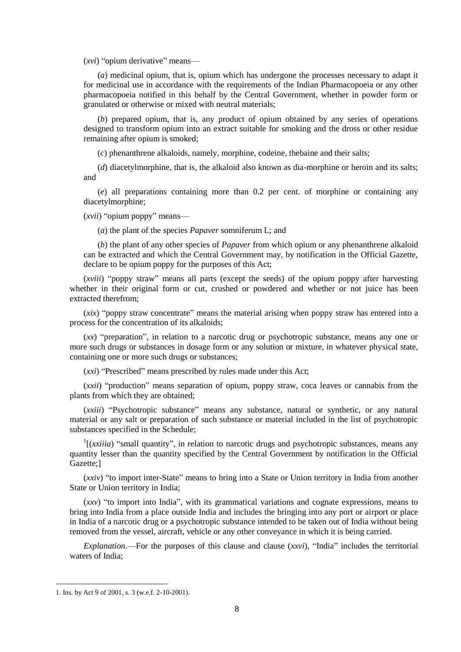(*xvi*) "opium derivative" means—

(*a*) medicinal opium, that is, opium which has undergone the processes necessary to adapt it for medicinal use in accordance with the requirements of the Indian Pharmacopoeia or any other pharmacopoeia notified in this behalf by the Central Government, whether in powder form or granulated or otherwise or mixed with neutral materials;

(*b*) prepared opium, that is, any product of opium obtained by any series of operations designed to transform opium into an extract suitable for smoking and the dross or other residue remaining after opium is smoked;

(*c*) phenanthrene alkaloids, namely, morphine, codeine, thebaine and their salts;

(*d*) diacetylmorphine, that is, the alkaloid also known as dia-morphine or heroin and its salts; and

(*e*) all preparations containing more than 0.2 per cent. of morphine or containing any diacetylmorphine;

(*xvii*) "opium poppy" means—

(*a*) the plant of the species *Papaver* somniferum L; and

(*b*) the plant of any other species of *Papaver* from which opium or any phenanthrene alkaloid can be extracted and which the Central Government may, by notification in the Official Gazette, declare to be opium poppy for the purposes of this Act;

(*xviii*) "poppy straw" means all parts (except the seeds) of the opium poppy after harvesting whether in their original form or cut, crushed or powdered and whether or not juice has been extracted therefrom;

(*xix*) "poppy straw concentrate" means the material arising when poppy straw has entered into a process for the concentration of its alkaloids;

(*xx*) "preparation", in relation to a narcotic drug or psychotropic substance, means any one or more such drugs or substances in dosage form or any solution or mixture, in whatever physical state, containing one or more such drugs or substances;

(*xxi*) "Prescribed" means prescribed by rules made under this Act;

(*xxii*) "production" means separation of opium, poppy straw, coca leaves or cannabis from the plants from which they are obtained;

(*xxiii*) "Psychotropic substance" means any substance, natural or synthetic, or any natural material or any salt or preparation of such substance or material included in the list of psychotropic substances specified in the Schedule;

 $\frac{1}{x}$  (*xxiiia*) "small quantity", in relation to narcotic drugs and psychotropic substances, means any quantity lesser than the quantity specified by the Central Government by notification in the Official Gazette;]

(*xxiv*) "to import inter-State" means to bring into a State or Union territory in India from another State or Union territory in India;

(*xxv*) "to import into India", with its grammatical variations and cognate expressions, means to bring into India from a place outside India and includes the bringing into any port or airport or place in India of a narcotic drug or a psychotropic substance intended to be taken out of India without being removed from the vessel, aircraft, vehicle or any other conveyance in which it is being carried.

*Explanation*.—For the purposes of this clause and clause (*xxvi*), "India" includes the territorial waters of India;

<sup>1.</sup> Ins. by Act 9 of 2001, s. 3 (w.e.f. 2-10-2001).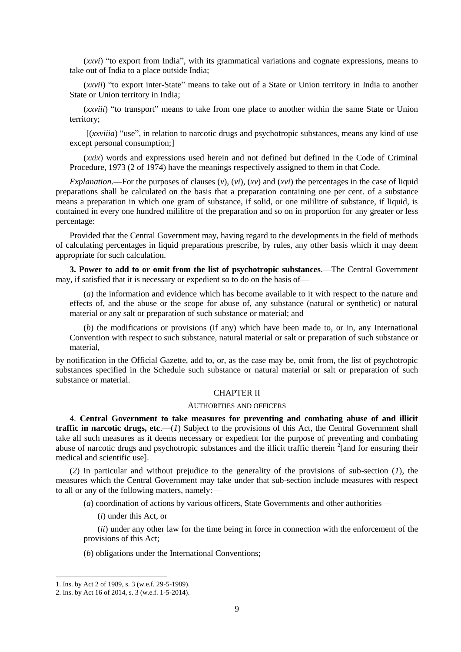(*xxvi*) "to export from India", with its grammatical variations and cognate expressions, means to take out of India to a place outside India;

(*xxvii*) "to export inter-State" means to take out of a State or Union territory in India to another State or Union territory in India;

(*xxviii*) "to transport" means to take from one place to another within the same State or Union territory;

 $\frac{1}{x}$  (*xxviiia*) "use", in relation to narcotic drugs and psychotropic substances, means any kind of use except personal consumption;]

(*xxix*) words and expressions used herein and not defined but defined in the Code of Criminal Procedure, 1973 (2 of 1974) have the meanings respectively assigned to them in that Code.

*Explanation*.—For the purposes of clauses (*v*), (*vi*), (*xv*) and (*xvi*) the percentages in the case of liquid preparations shall be calculated on the basis that a preparation containing one per cent. of a substance means a preparation in which one gram of substance, if solid, or one mililitre of substance, if liquid, is contained in every one hundred mililitre of the preparation and so on in proportion for any greater or less percentage:

Provided that the Central Government may, having regard to the developments in the field of methods of calculating percentages in liquid preparations prescribe, by rules, any other basis which it may deem appropriate for such calculation.

**3. Power to add to or omit from the list of psychotropic substances**.—The Central Government may, if satisfied that it is necessary or expedient so to do on the basis of—

(*a*) the information and evidence which has become available to it with respect to the nature and effects of, and the abuse or the scope for abuse of, any substance (natural or synthetic) or natural material or any salt or preparation of such substance or material; and

(*b*) the modifications or provisions (if any) which have been made to, or in, any International Convention with respect to such substance, natural material or salt or preparation of such substance or material,

by notification in the Official Gazette, add to, or, as the case may be, omit from, the list of psychotropic substances specified in the Schedule such substance or natural material or salt or preparation of such substance or material.

#### CHAPTER II

#### AUTHORITIES AND OFFICERS

4. **Central Government to take measures for preventing and combating abuse of and illicit traffic in narcotic drugs, etc.—(***1***)** Subject to the provisions of this Act, the Central Government shall take all such measures as it deems necessary or expedient for the purpose of preventing and combating abuse of narcotic drugs and psychotropic substances and the illicit traffic therein <sup>2</sup>[and for ensuring their medical and scientific use].

(*2*) In particular and without prejudice to the generality of the provisions of sub-section (*1*), the measures which the Central Government may take under that sub-section include measures with respect to all or any of the following matters, namely:—

(*a*) coordination of actions by various officers, State Governments and other authorities—

(*i*) under this Act, or

(*ii*) under any other law for the time being in force in connection with the enforcement of the provisions of this Act;

(*b*) obligations under the International Conventions;

<sup>1.</sup> Ins. by Act 2 of 1989, s. 3 (w.e.f. 29-5-1989).

<sup>2.</sup> Ins. by Act 16 of 2014, s. 3 (w.e.f. 1-5-2014).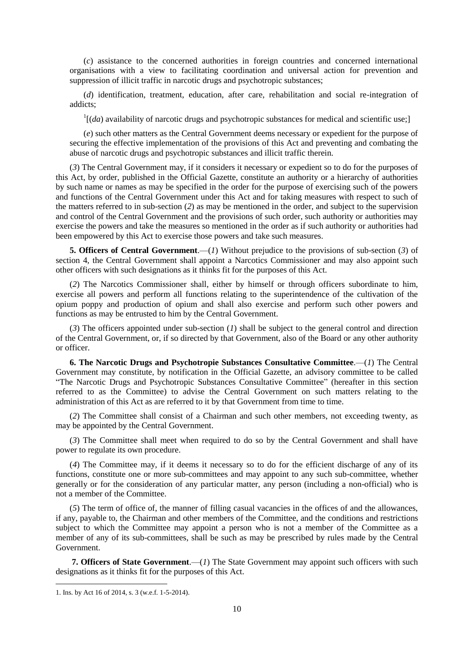(*c*) assistance to the concerned authorities in foreign countries and concerned international organisations with a view to facilitating coordination and universal action for prevention and suppression of illicit traffic in narcotic drugs and psychotropic substances;

(*d*) identification, treatment, education, after care, rehabilitation and social re-integration of addicts;

 $1$ [(*da*) availability of narcotic drugs and psychotropic substances for medical and scientific use;]

(*e*) such other matters as the Central Government deems necessary or expedient for the purpose of securing the effective implementation of the provisions of this Act and preventing and combating the abuse of narcotic drugs and psychotropic substances and illicit traffic therein.

(*3*) The Central Government may, if it considers it necessary or expedient so to do for the purposes of this Act, by order, published in the Official Gazette, constitute an authority or a hierarchy of authorities by such name or names as may be specified in the order for the purpose of exercising such of the powers and functions of the Central Government under this Act and for taking measures with respect to such of the matters referred to in sub-section (*2*) as may be mentioned in the order, and subject to the supervision and control of the Central Government and the provisions of such order, such authority or authorities may exercise the powers and take the measures so mentioned in the order as if such authority or authorities had been empowered by this Act to exercise those powers and take such measures.

**5. Officers of Central Government**.—(*1*) Without prejudice to the provisions of sub-section (*3*) of section 4, the Central Government shall appoint a Narcotics Commissioner and may also appoint such other officers with such designations as it thinks fit for the purposes of this Act.

(*2*) The Narcotics Commissioner shall, either by himself or through officers subordinate to him, exercise all powers and perform all functions relating to the superintendence of the cultivation of the opium poppy and production of opium and shall also exercise and perform such other powers and functions as may be entrusted to him by the Central Government.

(*3*) The officers appointed under sub-section (*1*) shall be subject to the general control and direction of the Central Government, or, if so directed by that Government, also of the Board or any other authority or officer.

**6. The Narcotic Drugs and Psychotropie Substances Consultative Committee**.—(*1*) The Central Government may constitute, by notification in the Official Gazette, an advisory committee to be called "The Narcotic Drugs and Psychotropic Substances Consultative Committee" (hereafter in this section referred to as the Committee) to advise the Central Government on such matters relating to the administration of this Act as are referred to it by that Government from time to time.

(*2*) The Committee shall consist of a Chairman and such other members, not exceeding twenty, as may be appointed by the Central Government.

(*3*) The Committee shall meet when required to do so by the Central Government and shall have power to regulate its own procedure.

(*4*) The Committee may, if it deems it necessary so to do for the efficient discharge of any of its functions, constitute one or more sub-committees and may appoint to any such sub-committee, whether generally or for the consideration of any particular matter, any person (including a non-official) who is not a member of the Committee.

(*5*) The term of office of, the manner of filling casual vacancies in the offices of and the allowances, if any, payable to, the Chairman and other members of the Committee, and the conditions and restrictions subject to which the Committee may appoint a person who is not a member of the Committee as a member of any of its sub-committees, shall be such as may be prescribed by rules made by the Central Government.

**7. Officers of State Government**.—(*1*) The State Government may appoint such officers with such designations as it thinks fit for the purposes of this Act.

<sup>1.</sup> Ins. by Act 16 of 2014, s. 3 (w.e.f. 1-5-2014).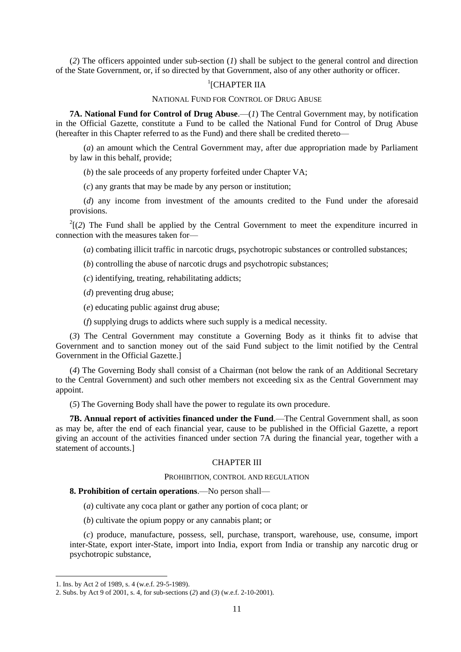(*2*) The officers appointed under sub-section (*1*) shall be subject to the general control and direction of the State Government, or, if so directed by that Government, also of any other authority or officer.

# <sup>1</sup>[CHAPTER IIA

### NATIONAL FUND FOR CONTROL OF DRUG ABUSE

**7A. National Fund for Control of Drug Abuse.**—(*1*) The Central Government may, by notification in the Official Gazette, constitute a Fund to be called the National Fund for Control of Drug Abuse (hereafter in this Chapter referred to as the Fund) and there shall be credited thereto—

(*a*) an amount which the Central Government may, after due appropriation made by Parliament by law in this behalf, provide;

(*b*) the sale proceeds of any property forfeited under Chapter VA;

(*c*) any grants that may be made by any person or institution;

(*d*) any income from investment of the amounts credited to the Fund under the aforesaid provisions.

 $2(2)$  The Fund shall be applied by the Central Government to meet the expenditure incurred in connection with the measures taken for—

(*a*) combating illicit traffic in narcotic drugs, psychotropic substances or controlled substances;

- (*b*) controlling the abuse of narcotic drugs and psychotropic substances;
- (*c*) identifying, treating, rehabilitating addicts;
- (*d*) preventing drug abuse;
- (*e*) educating public against drug abuse;
- (*f*) supplying drugs to addicts where such supply is a medical necessity.

(*3*) The Central Government may constitute a Governing Body as it thinks fit to advise that Government and to sanction money out of the said Fund subject to the limit notified by the Central Government in the Official Gazette.]

(*4*) The Governing Body shall consist of a Chairman (not below the rank of an Additional Secretary to the Central Government) and such other members not exceeding six as the Central Government may appoint.

(*5*) The Governing Body shall have the power to regulate its own procedure.

**7B. Annual report of activities financed under the Fund**.—The Central Government shall, as soon as may be, after the end of each financial year, cause to be published in the Official Gazette, a report giving an account of the activities financed under section 7A during the financial year, together with a statement of accounts.]

### CHAPTER III

#### PROHIBITION, CONTROL AND REGULATION

#### **8. Prohibition of certain operations**.—No person shall—

(*a*) cultivate any coca plant or gather any portion of coca plant; or

(*b*) cultivate the opium poppy or any cannabis plant; or

(*c*) produce, manufacture, possess, sell, purchase, transport, warehouse, use, consume, import inter-State, export inter-State, import into India, export from India or tranship any narcotic drug or psychotropic substance,

<sup>1.</sup> Ins. by Act 2 of 1989, s. 4 (w.e.f. 29-5-1989).

<sup>2.</sup> Subs. by Act 9 of 2001, s. 4, for sub-sections (*2*) and (*3*) (w.e.f. 2-10-2001).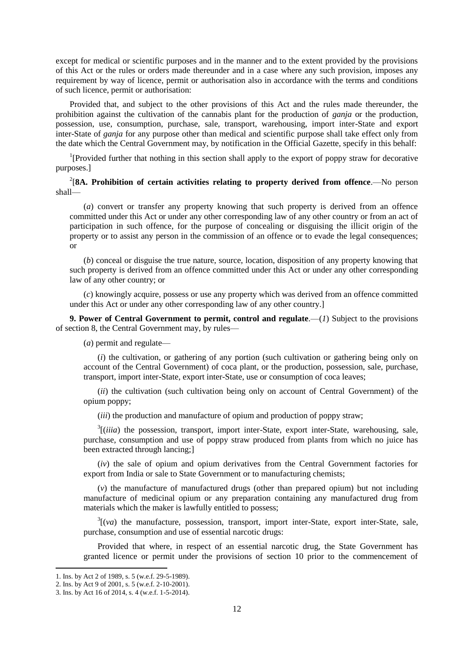except for medical or scientific purposes and in the manner and to the extent provided by the provisions of this Act or the rules or orders made thereunder and in a case where any such provision, imposes any requirement by way of licence, permit or authorisation also in accordance with the terms and conditions of such licence, permit or authorisation:

Provided that, and subject to the other provisions of this Act and the rules made thereunder, the prohibition against the cultivation of the cannabis plant for the production of *ganja* or the production, possession, use, consumption, purchase, sale, transport, warehousing, import inter-State and export inter-State of *ganja* for any purpose other than medical and scientific purpose shall take effect only from the date which the Central Government may, by notification in the Official Gazette, specify in this behalf:

<sup>1</sup>[Provided further that nothing in this section shall apply to the export of poppy straw for decorative purposes.]

2 [**8A. Prohibition of certain activities relating to property derived from offence**.—No person shall—

(*a*) convert or transfer any property knowing that such property is derived from an offence committed under this Act or under any other corresponding law of any other country or from an act of participation in such offence, for the purpose of concealing or disguising the illicit origin of the property or to assist any person in the commission of an offence or to evade the legal consequences; or

(*b*) conceal or disguise the true nature, source, location, disposition of any property knowing that such property is derived from an offence committed under this Act or under any other corresponding law of any other country; or

(*c*) knowingly acquire, possess or use any property which was derived from an offence committed under this Act or under any other corresponding law of any other country.]

**9. Power of Central Government to permit, control and regulate**.—(*1*) Subject to the provisions of section 8, the Central Government may, by rules—

(*a*) permit and regulate—

(*i*) the cultivation, or gathering of any portion (such cultivation or gathering being only on account of the Central Government) of coca plant, or the production, possession, sale, purchase, transport, import inter-State, export inter-State, use or consumption of coca leaves;

(*ii*) the cultivation (such cultivation being only on account of Central Government) of the opium poppy;

(*iii*) the production and manufacture of opium and production of poppy straw;

<sup>3</sup>[(*iiia*) the possession, transport, import inter-State, export inter-State, warehousing, sale, purchase, consumption and use of poppy straw produced from plants from which no juice has been extracted through lancing;]

(*iv*) the sale of opium and opium derivatives from the Central Government factories for export from India or sale to State Government or to manufacturing chemists;

(*v*) the manufacture of manufactured drugs (other than prepared opium) but not including manufacture of medicinal opium or any preparation containing any manufactured drug from materials which the maker is lawfully entitled to possess;

 $3\left[\nu a\right]$  the manufacture, possession, transport, import inter-State, export inter-State, sale, purchase, consumption and use of essential narcotic drugs:

Provided that where, in respect of an essential narcotic drug, the State Government has granted licence or permit under the provisions of section 10 prior to the commencement of

<sup>1.</sup> Ins. by Act 2 of 1989, s. 5 (w.e.f. 29-5-1989).

<sup>2.</sup> Ins. by Act 9 of 2001, s. 5 (w.e.f. 2-10-2001).

<sup>3.</sup> Ins. by Act 16 of 2014, s. 4 (w.e.f. 1-5-2014).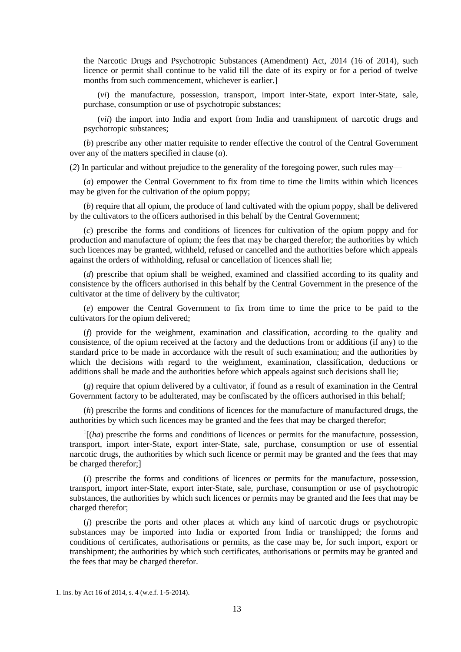the Narcotic Drugs and Psychotropic Substances (Amendment) Act, 2014 (16 of 2014), such licence or permit shall continue to be valid till the date of its expiry or for a period of twelve months from such commencement, whichever is earlier.]

(*vi*) the manufacture, possession, transport, import inter-State, export inter-State, sale, purchase, consumption or use of psychotropic substances;

(*vii*) the import into India and export from India and transhipment of narcotic drugs and psychotropic substances;

(*b*) prescribe any other matter requisite to render effective the control of the Central Government over any of the matters specified in clause (*a*).

(*2*) In particular and without prejudice to the generality of the foregoing power, such rules may—

(*a*) empower the Central Government to fix from time to time the limits within which licences may be given for the cultivation of the opium poppy;

(*b*) require that all opium, the produce of land cultivated with the opium poppy, shall be delivered by the cultivators to the officers authorised in this behalf by the Central Government;

(*c*) prescribe the forms and conditions of licences for cultivation of the opium poppy and for production and manufacture of opium; the fees that may be charged therefor; the authorities by which such licences may be granted, withheld, refused or cancelled and the authorities before which appeals against the orders of withholding, refusal or cancellation of licences shall lie;

(*d*) prescribe that opium shall be weighed, examined and classified according to its quality and consistence by the officers authorised in this behalf by the Central Government in the presence of the cultivator at the time of delivery by the cultivator;

(*e*) empower the Central Government to fix from time to time the price to be paid to the cultivators for the opium delivered;

(*f*) provide for the weighment, examination and classification, according to the quality and consistence, of the opium received at the factory and the deductions from or additions (if any) to the standard price to be made in accordance with the result of such examination; and the authorities by which the decisions with regard to the weighment, examination, classification, deductions or additions shall be made and the authorities before which appeals against such decisions shall lie;

(*g*) require that opium delivered by a cultivator, if found as a result of examination in the Central Government factory to be adulterated, may be confiscated by the officers authorised in this behalf;

(*h*) prescribe the forms and conditions of licences for the manufacture of manufactured drugs, the authorities by which such licences may be granted and the fees that may be charged therefor;

 $\frac{1}{1}$ (*ha*) prescribe the forms and conditions of licences or permits for the manufacture, possession, transport, import inter-State, export inter-State, sale, purchase, consumption or use of essential narcotic drugs, the authorities by which such licence or permit may be granted and the fees that may be charged therefor;]

(*i*) prescribe the forms and conditions of licences or permits for the manufacture, possession, transport, import inter-State, export inter-State, sale, purchase, consumption or use of psychotropic substances, the authorities by which such licences or permits may be granted and the fees that may be charged therefor;

(*j*) prescribe the ports and other places at which any kind of narcotic drugs or psychotropic substances may be imported into India or exported from India or transhipped; the forms and conditions of certificates, authorisations or permits, as the case may be, for such import, export or transhipment; the authorities by which such certificates, authorisations or permits may be granted and the fees that may be charged therefor.

<sup>1.</sup> Ins. by Act 16 of 2014, s. 4 (w.e.f. 1-5-2014).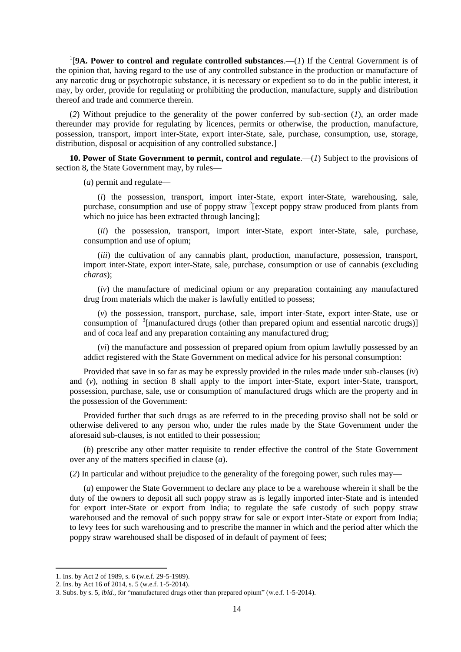<sup>1</sup>[9A. Power to control and regulate controlled substances.— $(I)$  If the Central Government is of the opinion that, having regard to the use of any controlled substance in the production or manufacture of any narcotic drug or psychotropic substance, it is necessary or expedient so to do in the public interest, it may, by order, provide for regulating or prohibiting the production, manufacture, supply and distribution thereof and trade and commerce therein.

(*2*) Without prejudice to the generality of the power conferred by sub-section (*1*), an order made thereunder may provide for regulating by licences, permits or otherwise, the production, manufacture, possession, transport, import inter-State, export inter-State, sale, purchase, consumption, use, storage, distribution, disposal or acquisition of any controlled substance.

**10. Power of State Government to permit, control and regulate**.—(*1*) Subject to the provisions of section 8, the State Government may, by rules—

(*a*) permit and regulate—

(*i*) the possession, transport, import inter-State, export inter-State, warehousing, sale, purchase, consumption and use of poppy straw <sup>2</sup>[except poppy straw produced from plants from which no juice has been extracted through lancing];

(*ii*) the possession, transport, import inter-State, export inter-State, sale, purchase, consumption and use of opium;

(*iii*) the cultivation of any cannabis plant, production, manufacture, possession, transport, import inter-State, export inter-State, sale, purchase, consumption or use of cannabis (excluding *charas*);

(*iv*) the manufacture of medicinal opium or any preparation containing any manufactured drug from materials which the maker is lawfully entitled to possess;

(*v*) the possession, transport, purchase, sale, import inter-State, export inter-State, use or consumption of <sup>3</sup>[manufactured drugs (other than prepared opium and essential narcotic drugs)] and of coca leaf and any preparation containing any manufactured drug;

(*vi*) the manufacture and possession of prepared opium from opium lawfully possessed by an addict registered with the State Government on medical advice for his personal consumption:

Provided that save in so far as may be expressly provided in the rules made under sub-clauses (*iv*) and (*v*), nothing in section 8 shall apply to the import inter-State, export inter-State, transport, possession, purchase, sale, use or consumption of manufactured drugs which are the property and in the possession of the Government:

Provided further that such drugs as are referred to in the preceding proviso shall not be sold or otherwise delivered to any person who, under the rules made by the State Government under the aforesaid sub-clauses, is not entitled to their possession;

(*b*) prescribe any other matter requisite to render effective the control of the State Government over any of the matters specified in clause (*a*).

(*2*) In particular and without prejudice to the generality of the foregoing power, such rules may—

(*a*) empower the State Government to declare any place to be a warehouse wherein it shall be the duty of the owners to deposit all such poppy straw as is legally imported inter-State and is intended for export inter-State or export from India; to regulate the safe custody of such poppy straw warehoused and the removal of such poppy straw for sale or export inter-State or export from India; to levy fees for such warehousing and to prescribe the manner in which and the period after which the poppy straw warehoused shall be disposed of in default of payment of fees;

<sup>1.</sup> Ins. by Act 2 of 1989, s. 6 (w.e.f. 29-5-1989).

<sup>2.</sup> Ins. by Act 16 of 2014, s. 5 (w.e.f. 1-5-2014).

<sup>3.</sup> Subs. by s. 5, *ibid*., for "manufactured drugs other than prepared opium" (w.e.f. 1-5-2014).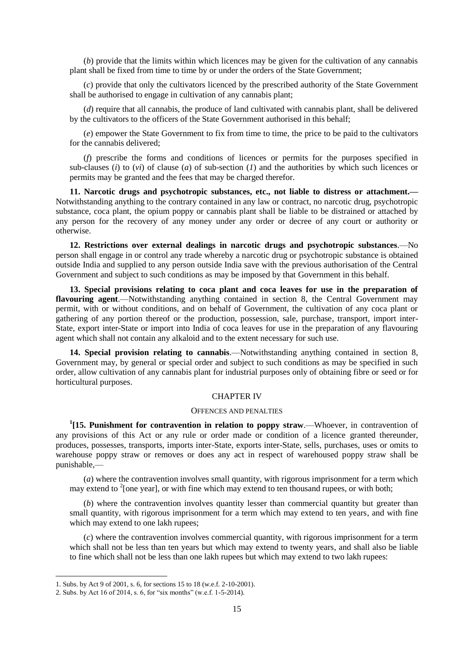(*b*) provide that the limits within which licences may be given for the cultivation of any cannabis plant shall be fixed from time to time by or under the orders of the State Government;

(*c*) provide that only the cultivators licenced by the prescribed authority of the State Government shall be authorised to engage in cultivation of any cannabis plant;

(*d*) require that all cannabis, the produce of land cultivated with cannabis plant, shall be delivered by the cultivators to the officers of the State Government authorised in this behalf;

(*e*) empower the State Government to fix from time to time, the price to be paid to the cultivators for the cannabis delivered;

(*f*) prescribe the forms and conditions of licences or permits for the purposes specified in sub-clauses (*i*) to (*vi*) of clause (*a*) of sub-section (*1*) and the authorities by which such licences or permits may be granted and the fees that may be charged therefor.

**11. Narcotic drugs and psychotropic substances, etc., not liable to distress or attachment.—** Notwithstanding anything to the contrary contained in any law or contract, no narcotic drug, psychotropic substance, coca plant, the opium poppy or cannabis plant shall be liable to be distrained or attached by any person for the recovery of any money under any order or decree of any court or authority or otherwise.

**12. Restrictions over external dealings in narcotic drugs and psychotropic substances**.—No person shall engage in or control any trade whereby a narcotic drug or psychotropic substance is obtained outside India and supplied to any person outside India save with the previous authorisation of the Central Government and subject to such conditions as may be imposed by that Government in this behalf.

**13. Special provisions relating to coca plant and coca leaves for use in the preparation of flavouring agent**.—Notwithstanding anything contained in section 8, the Central Government may permit, with or without conditions, and on behalf of Government, the cultivation of any coca plant or gathering of any portion thereof or the production, possession, sale, purchase, transport, import inter-State, export inter-State or import into India of coca leaves for use in the preparation of any flavouring agent which shall not contain any alkaloid and to the extent necessary for such use.

**14. Special provision relating to cannabis**.—Notwithstanding anything contained in section 8, Government may, by general or special order and subject to such conditions as may be specified in such order, allow cultivation of any cannabis plant for industrial purposes only of obtaining fibre or seed or for horticultural purposes.

### CHAPTER IV

### OFFENCES AND PENALTIES

<sup>1</sup>[15. Punishment for contravention in relation to poppy straw.—Whoever, in contravention of any provisions of this Act or any rule or order made or condition of a licence granted thereunder, produces, possesses, transports, imports inter-State, exports inter-State, sells, purchases, uses or omits to warehouse poppy straw or removes or does any act in respect of warehoused poppy straw shall be punishable,—

(*a*) where the contravention involves small quantity, with rigorous imprisonment for a term which may extend to  $2$ [one year], or with fine which may extend to ten thousand rupees, or with both;

(*b*) where the contravention involves quantity lesser than commercial quantity but greater than small quantity, with rigorous imprisonment for a term which may extend to ten years, and with fine which may extend to one lakh rupees;

(*c*) where the contravention involves commercial quantity, with rigorous imprisonment for a term which shall not be less than ten years but which may extend to twenty years, and shall also be liable to fine which shall not be less than one lakh rupees but which may extend to two lakh rupees:

<sup>1.</sup> Subs. by Act 9 of 2001, s. 6, for sections 15 to 18 (w.e.f. 2-10-2001).

<sup>2.</sup> Subs. by Act 16 of 2014, s. 6, for "six months" (w.e.f. 1-5-2014).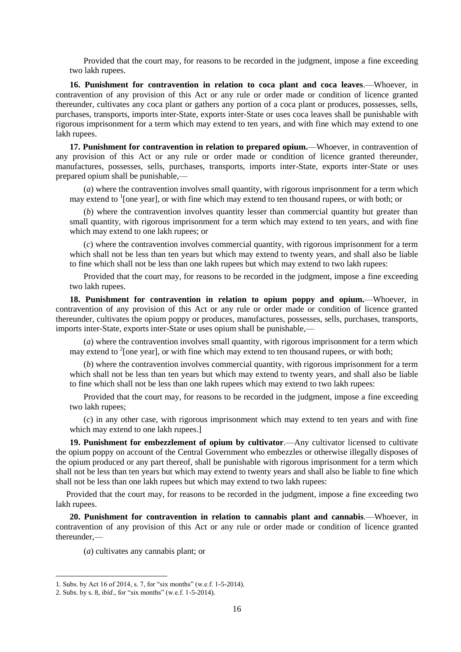Provided that the court may, for reasons to be recorded in the judgment, impose a fine exceeding two lakh rupees.

**16. Punishment for contravention in relation to coca plant and coca leaves**.—Whoever, in contravention of any provision of this Act or any rule or order made or condition of licence granted thereunder, cultivates any coca plant or gathers any portion of a coca plant or produces, possesses, sells, purchases, transports, imports inter-State, exports inter-State or uses coca leaves shall be punishable with rigorous imprisonment for a term which may extend to ten years, and with fine which may extend to one lakh rupees.

**17. Punishment for contravention in relation to prepared opium.**—Whoever, in contravention of any provision of this Act or any rule or order made or condition of licence granted thereunder, manufactures, possesses, sells, purchases, transports, imports inter-State, exports inter-State or uses prepared opium shall be punishable,—

(*a*) where the contravention involves small quantity, with rigorous imprisonment for a term which may extend to <sup>1</sup>[one year], or with fine which may extend to ten thousand rupees, or with both; or

(*b*) where the contravention involves quantity lesser than commercial quantity but greater than small quantity, with rigorous imprisonment for a term which may extend to ten years, and with fine which may extend to one lakh rupees; or

(*c*) where the contravention involves commercial quantity, with rigorous imprisonment for a term which shall not be less than ten years but which may extend to twenty years, and shall also be liable to fine which shall not be less than one lakh rupees but which may extend to two lakh rupees:

Provided that the court may, for reasons to be recorded in the judgment, impose a fine exceeding two lakh rupees.

**18. Punishment for contravention in relation to opium poppy and opium.**—Whoever, in contravention of any provision of this Act or any rule or order made or condition of licence granted thereunder, cultivates the opium poppy or produces, manufactures, possesses, sells, purchases, transports, imports inter-State, exports inter-State or uses opium shall be punishable,—

(*a*) where the contravention involves small quantity, with rigorous imprisonment for a term which may extend to  $2$ [one year], or with fine which may extend to ten thousand rupees, or with both;

(*b*) where the contravention involves commercial quantity, with rigorous imprisonment for a term which shall not be less than ten years but which may extend to twenty years, and shall also be liable to fine which shall not be less than one lakh rupees which may extend to two lakh rupees:

Provided that the court may, for reasons to be recorded in the judgment, impose a fine exceeding two lakh rupees;

(*c*) in any other case, with rigorous imprisonment which may extend to ten years and with fine which may extend to one lakh rupees.

**19. Punishment for embezzlement of opium by cultivator**.—Any cultivator licensed to cultivate the opium poppy on account of the Central Government who embezzles or otherwise illegally disposes of the opium produced or any part thereof, shall be punishable with rigorous imprisonment for a term which shall not be less than ten years but which may extend to twenty years and shall also be liable to fine which shall not be less than one lakh rupees but which may extend to two lakh rupees:

Provided that the court may, for reasons to be recorded in the judgment, impose a fine exceeding two lakh rupees.

**20. Punishment for contravention in relation to cannabis plant and cannabis**.—Whoever, in contravention of any provision of this Act or any rule or order made or condition of licence granted thereunder,—

(*a*) cultivates any cannabis plant; or

<sup>1.</sup> Subs. by Act 16 of 2014, s. 7, for "six months" (w.e.f. 1-5-2014).

<sup>2.</sup> Subs. by s. 8, *ibid*., for "six months" (w.e.f. 1-5-2014).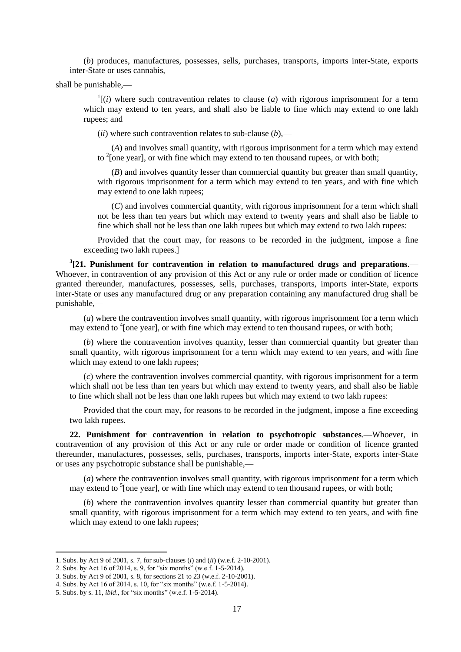(*b*) produces, manufactures, possesses, sells, purchases, transports, imports inter-State, exports inter-State or uses cannabis,

shall be punishable,—

 $\frac{1}{i}$  (*i*) where such contravention relates to clause (*a*) with rigorous imprisonment for a term which may extend to ten years, and shall also be liable to fine which may extend to one lakh rupees; and

(*ii*) where such contravention relates to sub-clause  $(b)$ ,—

(*A*) and involves small quantity, with rigorous imprisonment for a term which may extend to  $2$ [one year], or with fine which may extend to ten thousand rupees, or with both;

(*B*) and involves quantity lesser than commercial quantity but greater than small quantity, with rigorous imprisonment for a term which may extend to ten years, and with fine which may extend to one lakh rupees;

(*C*) and involves commercial quantity, with rigorous imprisonment for a term which shall not be less than ten years but which may extend to twenty years and shall also be liable to fine which shall not be less than one lakh rupees but which may extend to two lakh rupees:

Provided that the court may, for reasons to be recorded in the judgment, impose a fine exceeding two lakh rupees.]

**3 [21. Punishment for contravention in relation to manufactured drugs and preparations**.— Whoever, in contravention of any provision of this Act or any rule or order made or condition of licence granted thereunder, manufactures, possesses, sells, purchases, transports, imports inter-State, exports inter-State or uses any manufactured drug or any preparation containing any manufactured drug shall be punishable,—

(*a*) where the contravention involves small quantity, with rigorous imprisonment for a term which may extend to <sup>4</sup>[one year], or with fine which may extend to ten thousand rupees, or with both;

(*b*) where the contravention involves quantity, lesser than commercial quantity but greater than small quantity, with rigorous imprisonment for a term which may extend to ten years, and with fine which may extend to one lakh rupees;

(*c*) where the contravention involves commercial quantity, with rigorous imprisonment for a term which shall not be less than ten years but which may extend to twenty years, and shall also be liable to fine which shall not be less than one lakh rupees but which may extend to two lakh rupees:

Provided that the court may, for reasons to be recorded in the judgment, impose a fine exceeding two lakh rupees.

**22. Punishment for contravention in relation to psychotropic substances**.—Whoever, in contravention of any provision of this Act or any rule or order made or condition of licence granted thereunder, manufactures, possesses, sells, purchases, transports, imports inter-State, exports inter-State or uses any psychotropic substance shall be punishable,—

(*a*) where the contravention involves small quantity, with rigorous imprisonment for a term which may extend to <sup>5</sup>[one year], or with fine which may extend to ten thousand rupees, or with both;

(*b*) where the contravention involves quantity lesser than commercial quantity but greater than small quantity, with rigorous imprisonment for a term which may extend to ten years, and with fine which may extend to one lakh rupees;

<sup>1.</sup> Subs. by Act 9 of 2001, s. 7, for sub-clauses (*i*) and (*ii*) (w.e.f. 2-10-2001).

<sup>2.</sup> Subs. by Act 16 of 2014, s. 9, for "six months" (w.e.f. 1-5-2014).

<sup>3.</sup> Subs. by Act 9 of 2001, s. 8, for sections 21 to 23 (w.e.f. 2-10-2001).

<sup>4.</sup> Subs. by Act 16 of 2014, s. 10, for "six months" (w.e.f. 1-5-2014).

<sup>5.</sup> Subs. by s. 11, *ibid*., for "six months" (w.e.f. 1-5-2014).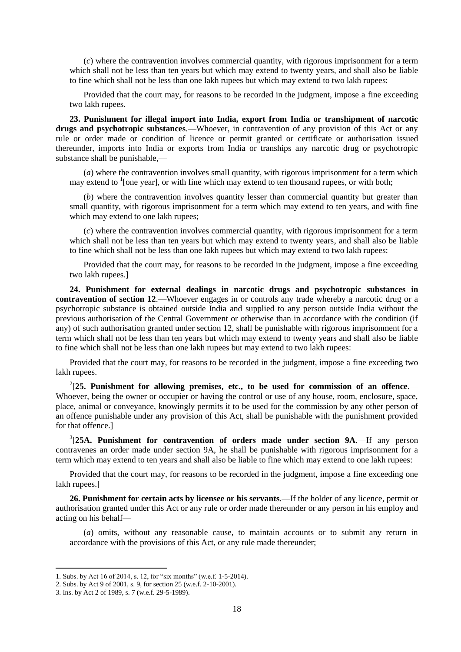(*c*) where the contravention involves commercial quantity, with rigorous imprisonment for a term which shall not be less than ten years but which may extend to twenty years, and shall also be liable to fine which shall not be less than one lakh rupees but which may extend to two lakh rupees:

Provided that the court may, for reasons to be recorded in the judgment, impose a fine exceeding two lakh rupees.

**23. Punishment for illegal import into India, export from India or transhipment of narcotic drugs and psychotropic substances**.—Whoever, in contravention of any provision of this Act or any rule or order made or condition of licence or permit granted or certificate or authorisation issued thereunder, imports into India or exports from India or tranships any narcotic drug or psychotropic substance shall be punishable,—

(*a*) where the contravention involves small quantity, with rigorous imprisonment for a term which may extend to  ${}^{1}$ [one year], or with fine which may extend to ten thousand rupees, or with both;

(*b*) where the contravention involves quantity lesser than commercial quantity but greater than small quantity, with rigorous imprisonment for a term which may extend to ten years, and with fine which may extend to one lakh rupees;

(*c*) where the contravention involves commercial quantity, with rigorous imprisonment for a term which shall not be less than ten years but which may extend to twenty years, and shall also be liable to fine which shall not be less than one lakh rupees but which may extend to two lakh rupees:

Provided that the court may, for reasons to be recorded in the judgment, impose a fine exceeding two lakh rupees.]

**24. Punishment for external dealings in narcotic drugs and psychotropic substances in contravention of section 12**.—Whoever engages in or controls any trade whereby a narcotic drug or a psychotropic substance is obtained outside India and supplied to any person outside India without the previous authorisation of the Central Government or otherwise than in accordance with the condition (if any) of such authorisation granted under section 12, shall be punishable with rigorous imprisonment for a term which shall not be less than ten years but which may extend to twenty years and shall also be liable to fine which shall not be less than one lakh rupees but may extend to two lakh rupees:

Provided that the court may, for reasons to be recorded in the judgment, impose a fine exceeding two lakh rupees.

2 [**25. Punishment for allowing premises, etc., to be used for commission of an offence**.— Whoever, being the owner or occupier or having the control or use of any house, room, enclosure, space, place, animal or conveyance, knowingly permits it to be used for the commission by any other person of an offence punishable under any provision of this Act, shall be punishable with the punishment provided for that offence.]

3 [**25A. Punishment for contravention of orders made under section 9A**.—If any person contravenes an order made under section 9A, he shall be punishable with rigorous imprisonment for a term which may extend to ten years and shall also be liable to fine which may extend to one lakh rupees:

Provided that the court may, for reasons to be recorded in the judgment, impose a fine exceeding one lakh rupees.]

**26. Punishment for certain acts by licensee or his servants**.—If the holder of any licence, permit or authorisation granted under this Act or any rule or order made thereunder or any person in his employ and acting on his behalf—

(*a*) omits, without any reasonable cause, to maintain accounts or to submit any return in accordance with the provisions of this Act, or any rule made thereunder;

<sup>1.</sup> Subs. by Act 16 of 2014, s. 12, for "six months" (w.e.f. 1-5-2014).

<sup>2.</sup> Subs. by Act 9 of 2001, s. 9, for section 25 (w.e.f. 2-10-2001).

<sup>3.</sup> Ins. by Act 2 of 1989, s. 7 (w.e.f. 29-5-1989).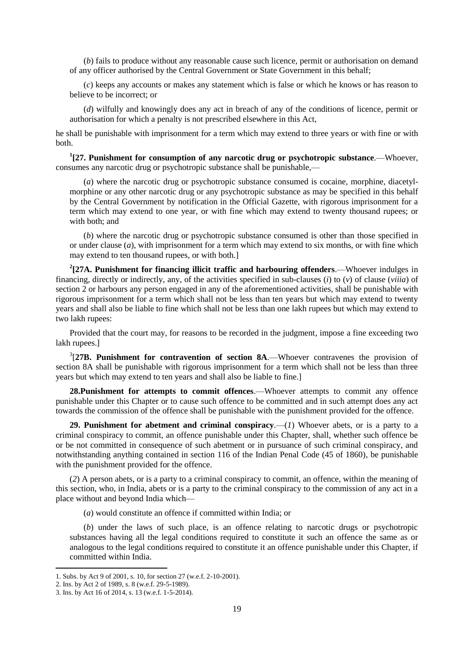(*b*) fails to produce without any reasonable cause such licence, permit or authorisation on demand of any officer authorised by the Central Government or State Government in this behalf;

(*c*) keeps any accounts or makes any statement which is false or which he knows or has reason to believe to be incorrect; or

(*d*) wilfully and knowingly does any act in breach of any of the conditions of licence, permit or authorisation for which a penalty is not prescribed elsewhere in this Act,

he shall be punishable with imprisonment for a term which may extend to three years or with fine or with both.

**1 [27. Punishment for consumption of any narcotic drug or psychotropic substance**.—Whoever, consumes any narcotic drug or psychotropic substance shall be punishable,—

(*a*) where the narcotic drug or psychotropic substance consumed is cocaine, morphine, diacetylmorphine or any other narcotic drug or any psychotropic substance as may be specified in this behalf by the Central Government by notification in the Official Gazette, with rigorous imprisonment for a term which may extend to one year, or with fine which may extend to twenty thousand rupees; or with both; and

(*b*) where the narcotic drug or psychotropic substance consumed is other than those specified in or under clause (*a*), with imprisonment for a term which may extend to six months, or with fine which may extend to ten thousand rupees, or with both.]

**2 [27A. Punishment for financing illicit traffic and harbouring offenders**.—Whoever indulges in financing, directly or indirectly, any, of the activities specified in sub-clauses (*i*) to (*v*) of clause (*viiia*) of section 2 or harbours any person engaged in any of the aforementioned activities, shall be punishable with rigorous imprisonment for a term which shall not be less than ten years but which may extend to twenty years and shall also be liable to fine which shall not be less than one lakh rupees but which may extend to two lakh rupees:

Provided that the court may, for reasons to be recorded in the judgment, impose a fine exceeding two lakh rupees.]

3 [**27B. Punishment for contravention of section 8A**.—Whoever contravenes the provision of section 8A shall be punishable with rigorous imprisonment for a term which shall not be less than three years but which may extend to ten years and shall also be liable to fine.]

**28.Punishment for attempts to commit offences**.—Whoever attempts to commit any offence punishable under this Chapter or to cause such offence to be committed and in such attempt does any act towards the commission of the offence shall be punishable with the punishment provided for the offence.

**29. Punishment for abetment and criminal conspiracy**.—(*1*) Whoever abets, or is a party to a criminal conspiracy to commit, an offence punishable under this Chapter, shall, whether such offence be or be not committed in consequence of such abetment or in pursuance of such criminal conspiracy, and notwithstanding anything contained in section 116 of the Indian Penal Code (45 of 1860), be punishable with the punishment provided for the offence.

(*2*) A person abets, or is a party to a criminal conspiracy to commit, an offence, within the meaning of this section, who, in India, abets or is a party to the criminal conspiracy to the commission of any act in a place without and beyond India which—

(*a*) would constitute an offence if committed within India; or

(*b*) under the laws of such place, is an offence relating to narcotic drugs or psychotropic substances having all the legal conditions required to constitute it such an offence the same as or analogous to the legal conditions required to constitute it an offence punishable under this Chapter, if committed within India.

<sup>1.</sup> Subs. by Act 9 of 2001, s. 10, for section 27 (w.e.f. 2-10-2001).

<sup>2.</sup> Ins. by Act 2 of 1989, s. 8 (w.e.f. 29-5-1989).

<sup>3.</sup> Ins. by Act 16 of 2014, s. 13 (w.e.f. 1-5-2014).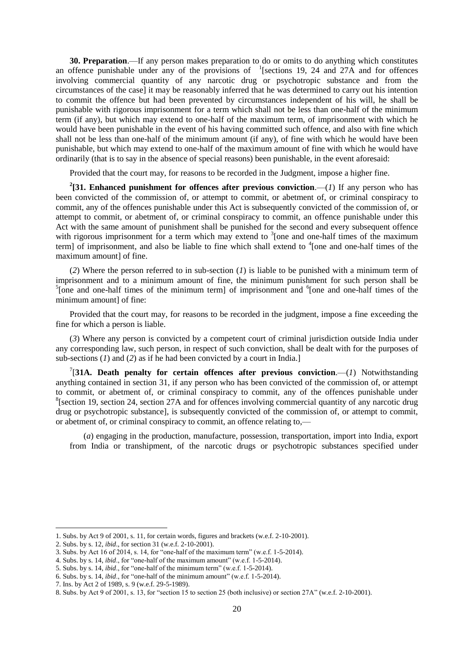**30. Preparation**.—If any person makes preparation to do or omits to do anything which constitutes an offence punishable under any of the provisions of  $\frac{1}{2}$  [sections 19, 24 and 27A and for offences involving commercial quantity of any narcotic drug or psychotropic substance and from the circumstances of the case] it may be reasonably inferred that he was determined to carry out his intention to commit the offence but had been prevented by circumstances independent of his will, he shall be punishable with rigorous imprisonment for a term which shall not be less than one-half of the minimum term (if any), but which may extend to one-half of the maximum term, of imprisonment with which he would have been punishable in the event of his having committed such offence, and also with fine which shall not be less than one-half of the minimum amount (if any), of fine with which he would have been punishable, but which may extend to one-half of the maximum amount of fine with which he would have ordinarily (that is to say in the absence of special reasons) been punishable, in the event aforesaid:

Provided that the court may, for reasons to be recorded in the Judgment, impose a higher fine.

<sup>2</sup>[31. Enhanced punishment for offences after previous conviction.—(*1*) If any person who has been convicted of the commission of, or attempt to commit, or abetment of, or criminal conspiracy to commit, any of the offences punishable under this Act is subsequently convicted of the commission of, or attempt to commit, or abetment of, or criminal conspiracy to commit, an offence punishable under this Act with the same amount of punishment shall be punished for the second and every subsequent offence with rigorous imprisonment for a term which may extend to  $3$  [one and one-half times of the maximum term] of imprisonment, and also be liable to fine which shall extend to <sup>4</sup>[one and one-half times of the maximum amount] of fine.

(*2*) Where the person referred to in sub-section (*1*) is liable to be punished with a minimum term of imprisonment and to a minimum amount of fine, the minimum punishment for such person shall be  $<sup>5</sup>$ [one and one-half times of the minimum term] of imprisonment and  $<sup>6</sup>$ [one and one-half times of the</sup></sup> minimum amount] of fine:

Provided that the court may, for reasons to be recorded in the judgment, impose a fine exceeding the fine for which a person is liable.

(*3*) Where any person is convicted by a competent court of criminal jurisdiction outside India under any corresponding law, such person, in respect of such conviction, shall be dealt with for the purposes of sub-sections (*1*) and (*2*) as if he had been convicted by a court in India.]

<sup>7</sup>[31A. Death penalty for certain offences after previous conviction.— $(I)$  Notwithstanding anything contained in section 31, if any person who has been convicted of the commission of, or attempt to commit, or abetment of, or criminal conspiracy to commit, any of the offences punishable under <sup>8</sup>[section 19, section 24, section 27A and for offences involving commercial quantity of any narcotic drug drug or psychotropic substance], is subsequently convicted of the commission of, or attempt to commit, or abetment of, or criminal conspiracy to commit, an offence relating to,—

(*a*) engaging in the production, manufacture, possession, transportation, import into India, export from India or transhipment, of the narcotic drugs or psychotropic substances specified under

 $\overline{a}$ 

<sup>1.</sup> Subs. by Act 9 of 2001, s. 11, for certain words, figures and brackets (w.e.f. 2-10-2001).

<sup>2.</sup> Subs. by s. 12, *ibid*., for section 31 (w.e.f. 2-10-2001).

<sup>3.</sup> Subs. by Act 16 of 2014, s. 14, for "one-half of the maximum term" (w.e.f. 1-5-2014).

<sup>4.</sup> Subs. by s. 14, *ibid*., for "one-half of the maximum amount" (w.e.f. 1-5-2014).

<sup>5.</sup> Subs. by s. 14, *ibid*., for "one-half of the minimum term" (w.e.f. 1-5-2014).

<sup>6.</sup> Subs. by s. 14, *ibid*., for "one-half of the minimum amount" (w.e.f. 1-5-2014).

<sup>7.</sup> Ins. by Act 2 of 1989, s. 9 (w.e.f. 29-5-1989).

<sup>8.</sup> Subs. by Act 9 of 2001, s. 13, for "section 15 to section 25 (both inclusive) or section 27A" (w.e.f. 2-10-2001).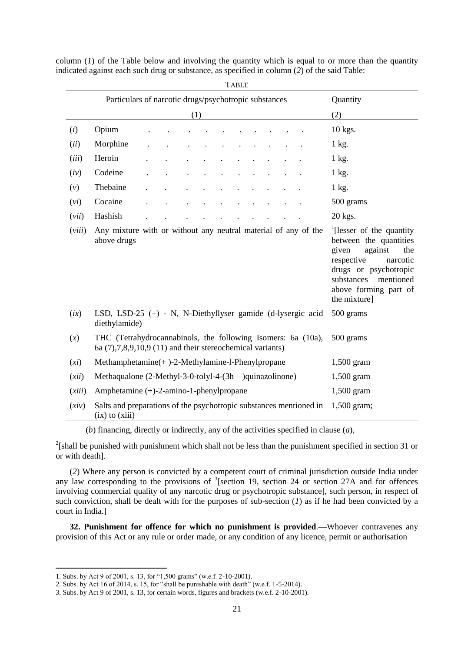| <b>TABLE</b>                                                      |                                                                                                                                                                                                                                                                                                    |  |  |  |  |  |  |           |  |  |              |
|-------------------------------------------------------------------|----------------------------------------------------------------------------------------------------------------------------------------------------------------------------------------------------------------------------------------------------------------------------------------------------|--|--|--|--|--|--|-----------|--|--|--------------|
| Particulars of narcotic drugs/psychotropic substances<br>Quantity |                                                                                                                                                                                                                                                                                                    |  |  |  |  |  |  |           |  |  |              |
| (1)                                                               |                                                                                                                                                                                                                                                                                                    |  |  |  |  |  |  | (2)       |  |  |              |
| (i)                                                               | Opium                                                                                                                                                                                                                                                                                              |  |  |  |  |  |  |           |  |  | 10 kgs.      |
| (ii)                                                              | Morphine                                                                                                                                                                                                                                                                                           |  |  |  |  |  |  |           |  |  | 1 kg.        |
| (iii)                                                             | Heroin                                                                                                                                                                                                                                                                                             |  |  |  |  |  |  |           |  |  | 1 kg.        |
| (iv)                                                              | Codeine                                                                                                                                                                                                                                                                                            |  |  |  |  |  |  |           |  |  | 1 kg.        |
| (v)                                                               | Thebaine                                                                                                                                                                                                                                                                                           |  |  |  |  |  |  |           |  |  | $1$ kg.      |
| (vi)                                                              | Cocaine                                                                                                                                                                                                                                                                                            |  |  |  |  |  |  |           |  |  | 500 grams    |
| (vii)                                                             | Hashish                                                                                                                                                                                                                                                                                            |  |  |  |  |  |  |           |  |  | 20 kgs.      |
| (viii)                                                            | $\frac{1}{2}$ [lesser of the quantity<br>Any mixture with or without any neutral material of any of the<br>above drugs<br>between the quantities<br>against<br>given<br>the<br>respective<br>narcotic<br>drugs or psychotropic<br>substances<br>mentioned<br>above forming part of<br>the mixture] |  |  |  |  |  |  |           |  |  |              |
| (ix)                                                              | LSD, LSD-25 (+) - N, N-Diethyllyser gamide (d-lysergic acid<br>500 grams<br>diethylamide)                                                                                                                                                                                                          |  |  |  |  |  |  |           |  |  |              |
| (x)                                                               | THC (Tetrahydrocannabinols, the following Isomers: 6a (10a),<br>6a $(7)$ , $7,8,9,10,9$ $(11)$ and their stereochemical variants)                                                                                                                                                                  |  |  |  |  |  |  | 500 grams |  |  |              |
| (xi)                                                              | $Methodm$ = $(-)$ -2-Methylamine-l-Phenylpropane                                                                                                                                                                                                                                                   |  |  |  |  |  |  |           |  |  | $1,500$ gram |
| (xii)                                                             | Methaqualone (2-Methyl-3-0-tolyl-4-(3h—)quinazolinone)                                                                                                                                                                                                                                             |  |  |  |  |  |  |           |  |  | $1,500$ gram |
| (xiii)                                                            | Amphetamine $(+)$ -2-amino-1-phenylpropane                                                                                                                                                                                                                                                         |  |  |  |  |  |  |           |  |  | 1,500 gram   |
| (xiv)                                                             | Salts and preparations of the psychotropic substances mentioned in<br>$1,500$ gram;<br>$(ix)$ to $(xiii)$                                                                                                                                                                                          |  |  |  |  |  |  |           |  |  |              |

column  $(I)$  of the Table below and involving the quantity which is equal to or more than the quantity indicated against each such drug or substance, as specified in column (*2*) of the said Table:

(*b*) financing, directly or indirectly, any of the activities specified in clause (*a*),

 $2$ [shall be punished with punishment which shall not be less than the punishment specified in section 31 or or with death].

(*2*) Where any person is convicted by a competent court of criminal jurisdiction outside India under any law corresponding to the provisions of <sup>3</sup>[section 19, section 24 or section 27A and for offences involving commercial quality of any narcotic drug or psychotropic substance], such person, in respect of such conviction, shall be dealt with for the purposes of sub-section  $(1)$  as if he had been convicted by a court in India.]

**32. Punishment for offence for which no punishment is provided**.—Whoever contravenes any provision of this Act or any rule or order made, or any condition of any licence, permit or authorisation

<sup>1.</sup> Subs. by Act 9 of 2001, s. 13, for "1,500 grams" (w.e.f. 2-10-2001).

<sup>2.</sup> Subs. by Act 16 of 2014, s. 15, for "shall be punishable with death" (w.e.f. 1-5-2014).

<sup>3.</sup> Subs. by Act 9 of 2001, s. 13, for certain words, figures and brackets (w.e.f. 2-10-2001).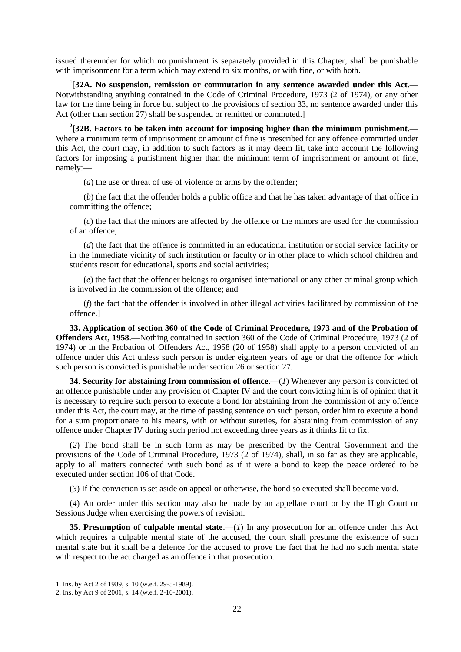issued thereunder for which no punishment is separately provided in this Chapter, shall be punishable with imprisonment for a term which may extend to six months, or with fine, or with both.

1 [**32A. No suspension, remission or commutation in any sentence awarded under this Act**.— Notwithstanding anything contained in the Code of Criminal Procedure, 1973 (2 of 1974), or any other law for the time being in force but subject to the provisions of section 33, no sentence awarded under this Act (other than section 27) shall be suspended or remitted or commuted.]

<sup>2</sup>[32B. Factors to be taken into account for imposing higher than the minimum punishment.— Where a minimum term of imprisonment or amount of fine is prescribed for any offence committed under this Act, the court may, in addition to such factors as it may deem fit, take into account the following factors for imposing a punishment higher than the minimum term of imprisonment or amount of fine, namely:—

(*a*) the use or threat of use of violence or arms by the offender;

(*b*) the fact that the offender holds a public office and that he has taken advantage of that office in committing the offence;

(*c*) the fact that the minors are affected by the offence or the minors are used for the commission of an offence;

(*d*) the fact that the offence is committed in an educational institution or social service facility or in the immediate vicinity of such institution or faculty or in other place to which school children and students resort for educational, sports and social activities;

(*e*) the fact that the offender belongs to organised international or any other criminal group which is involved in the commission of the offence; and

(*f*) the fact that the offender is involved in other illegal activities facilitated by commission of the offence.]

**33. Application of section 360 of the Code of Criminal Procedure, 1973 and of the Probation of Offenders Act, 1958**.—Nothing contained in section 360 of the Code of Criminal Procedure, 1973 (2 of 1974) or in the Probation of Offenders Act, 1958 (20 of 1958) shall apply to a person convicted of an offence under this Act unless such person is under eighteen years of age or that the offence for which such person is convicted is punishable under section 26 or section 27.

**34. Security for abstaining from commission of offence.—(1) Whenever any person is convicted of** an offence punishable under any provision of Chapter IV and the court convicting him is of opinion that it is necessary to require such person to execute a bond for abstaining from the commission of any offence under this Act, the court may, at the time of passing sentence on such person, order him to execute a bond for a sum proportionate to his means, with or without sureties, for abstaining from commission of any offence under Chapter IV during such period not exceeding three years as it thinks fit to fix.

(*2*) The bond shall be in such form as may be prescribed by the Central Government and the provisions of the Code of Criminal Procedure, 1973 (2 of 1974), shall, in so far as they are applicable, apply to all matters connected with such bond as if it were a bond to keep the peace ordered to be executed under section 106 of that Code.

(*3*) If the conviction is set aside on appeal or otherwise, the bond so executed shall become void.

(*4*) An order under this section may also be made by an appellate court or by the High Court or Sessions Judge when exercising the powers of revision.

**35. Presumption of culpable mental state.—(***1***)** In any prosecution for an offence under this Act which requires a culpable mental state of the accused, the court shall presume the existence of such mental state but it shall be a defence for the accused to prove the fact that he had no such mental state with respect to the act charged as an offence in that prosecution.

<sup>1.</sup> Ins. by Act 2 of 1989, s. 10 (w.e.f. 29-5-1989).

<sup>2.</sup> Ins. by Act 9 of 2001, s. 14 (w.e.f. 2-10-2001).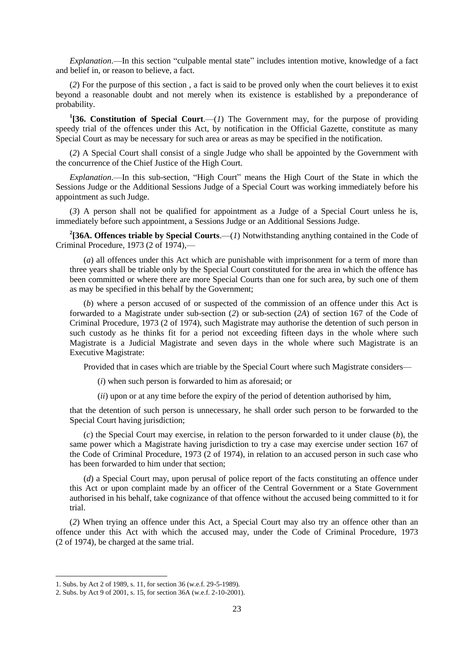*Explanation*.—In this section "culpable mental state" includes intention motive, knowledge of a fact and belief in, or reason to believe, a fact.

(*2*) For the purpose of this section , a fact is said to be proved only when the court believes it to exist beyond a reasonable doubt and not merely when its existence is established by a preponderance of probability.

<sup>1</sup>[36. Constitution of Special Court.— $(I)$  The Government may, for the purpose of providing speedy trial of the offences under this Act, by notification in the Official Gazette, constitute as many Special Court as may be necessary for such area or areas as may be specified in the notification.

(*2*) A Special Court shall consist of a single Judge who shall be appointed by the Government with the concurrence of the Chief Justice of the High Court.

*Explanation*.—In this sub-section, "High Court" means the High Court of the State in which the Sessions Judge or the Additional Sessions Judge of a Special Court was working immediately before his appointment as such Judge.

(*3*) A person shall not be qualified for appointment as a Judge of a Special Court unless he is, immediately before such appointment, a Sessions Judge or an Additional Sessions Judge.

<sup>2</sup>[36A. Offences triable by Special Courts.— $(I)$  Notwithstanding anything contained in the Code of Criminal Procedure, 1973 (2 of 1974),—

(*a*) all offences under this Act which are punishable with imprisonment for a term of more than three years shall be triable only by the Special Court constituted for the area in which the offence has been committed or where there are more Special Courts than one for such area, by such one of them as may be specified in this behalf by the Government;

(*b*) where a person accused of or suspected of the commission of an offence under this Act is forwarded to a Magistrate under sub-section (*2*) or sub-section (*2A*) of section 167 of the Code of Criminal Procedure, 1973 (2 of 1974), such Magistrate may authorise the detention of such person in such custody as he thinks fit for a period not exceeding fifteen days in the whole where such Magistrate is a Judicial Magistrate and seven days in the whole where such Magistrate is an Executive Magistrate:

Provided that in cases which are triable by the Special Court where such Magistrate considers—

- (*i*) when such person is forwarded to him as aforesaid; or
- (*ii*) upon or at any time before the expiry of the period of detention authorised by him,

that the detention of such person is unnecessary, he shall order such person to be forwarded to the Special Court having jurisdiction;

(*c*) the Special Court may exercise, in relation to the person forwarded to it under clause (*b*), the same power which a Magistrate having jurisdiction to try a case may exercise under section 167 of the Code of Criminal Procedure, 1973 (2 of 1974), in relation to an accused person in such case who has been forwarded to him under that section;

(*d*) a Special Court may, upon perusal of police report of the facts constituting an offence under this Act or upon complaint made by an officer of the Central Government or a State Government authorised in his behalf, take cognizance of that offence without the accused being committed to it for trial.

(*2*) When trying an offence under this Act, a Special Court may also try an offence other than an offence under this Act with which the accused may, under the Code of Criminal Procedure, 1973 (2 of 1974), be charged at the same trial.

<sup>1.</sup> Subs. by Act 2 of 1989, s. 11, for section 36 (w.e.f. 29-5-1989).

<sup>2.</sup> Subs. by Act 9 of 2001, s. 15, for section 36A (w.e.f. 2-10-2001).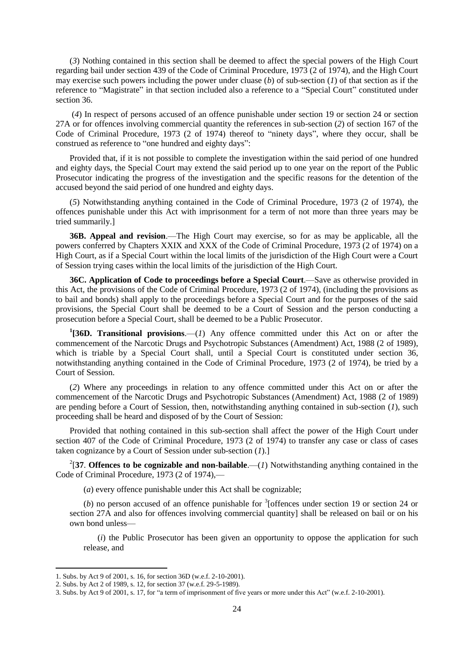(*3*) Nothing contained in this section shall be deemed to affect the special powers of the High Court regarding bail under section 439 of the Code of Criminal Procedure, 1973 (2 of 1974), and the High Court may exercise such powers including the power under cluase (*b*) of sub-section (*1*) of that section as if the reference to "Magistrate" in that section included also a reference to a "Special Court" constituted under section 36.

(*4*) In respect of persons accused of an offence punishable under section 19 or section 24 or section 27A or for offences involving commercial quantity the references in sub-section (*2*) of section 167 of the Code of Criminal Procedure, 1973 (2 of 1974) thereof to "ninety days", where they occur, shall be construed as reference to "one hundred and eighty days":

Provided that, if it is not possible to complete the investigation within the said period of one hundred and eighty days, the Special Court may extend the said period up to one year on the report of the Public Prosecutor indicating the progress of the investigation and the specific reasons for the detention of the accused beyond the said period of one hundred and eighty days.

(*5*) Notwithstanding anything contained in the Code of Criminal Procedure, 1973 (2 of 1974), the offences punishable under this Act with imprisonment for a term of not more than three years may be tried summarily.]

**36B. Appeal and revision**.—The High Court may exercise, so for as may be applicable, all the powers conferred by Chapters XXIX and XXX of the Code of Criminal Procedure, 1973 (2 of 1974) on a High Court, as if a Special Court within the local limits of the jurisdiction of the High Court were a Court of Session trying cases within the local limits of the jurisdiction of the High Court.

**36C. Application of Code to proceedings before a Special Court**.—Save as otherwise provided in this Act, the provisions of the Code of Criminal Procedure, 1973 (2 of 1974), (including the provisions as to bail and bonds) shall apply to the proceedings before a Special Court and for the purposes of the said provisions, the Special Court shall be deemed to be a Court of Session and the person conducting a prosecution before a Special Court, shall be deemed to be a Public Prosecutor.

**1 [36D. Transitional provisions**.—(*1*) Any offence committed under this Act on or after the commencement of the Narcotic Drugs and Psychotropic Substances (Amendment) Act, 1988 (2 of 1989), which is triable by a Special Court shall, until a Special Court is constituted under section 36, notwithstanding anything contained in the Code of Criminal Procedure, 1973 (2 of 1974), be tried by a Court of Session.

(*2*) Where any proceedings in relation to any offence committed under this Act on or after the commencement of the Narcotic Drugs and Psychotropic Substances (Amendment) Act, 1988 (2 of 1989) are pending before a Court of Session, then, notwithstanding anything contained in sub-section (*1*), such proceeding shall be heard and disposed of by the Court of Session:

Provided that nothing contained in this sub-section shall affect the power of the High Court under section 407 of the Code of Criminal Procedure, 1973 (2 of 1974) to transfer any case or class of cases taken cognizance by a Court of Session under sub-section (*1*).]

<sup>2</sup>[37. Offences to be cognizable and non-bailable.—(*1*) Notwithstanding anything contained in the Code of Criminal Procedure, 1973 (2 of 1974),—

(*a*) every offence punishable under this Act shall be cognizable;

(*b*) no person accused of an offence punishable for  $\frac{3}{1}$  offences under section 19 or section 24 or section 27A and also for offences involving commercial quantity shall be released on bail or on his own bond unless—

(*i*) the Public Prosecutor has been given an opportunity to oppose the application for such release, and

<sup>1.</sup> Subs. by Act 9 of 2001, s. 16, for section 36D (w.e.f. 2-10-2001).

<sup>2.</sup> Subs. by Act 2 of 1989, s. 12, for section 37 (w.e.f. 29-5-1989).

<sup>3.</sup> Subs. by Act 9 of 2001, s. 17, for "a term of imprisonment of five years or more under this Act" (w.e.f. 2-10-2001).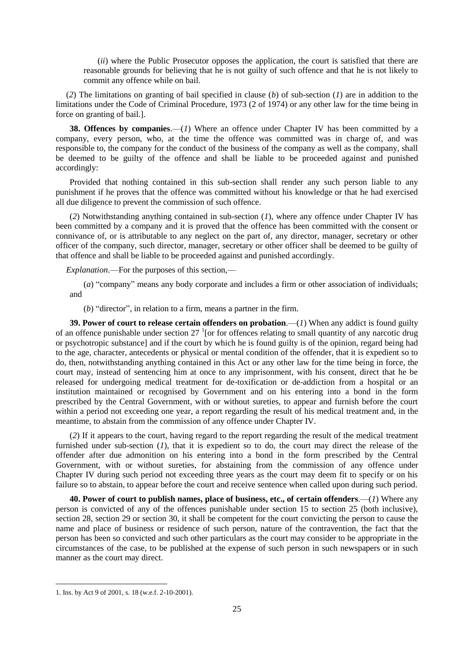(*ii*) where the Public Prosecutor opposes the application, the court is satisfied that there are reasonable grounds for believing that he is not guilty of such offence and that he is not likely to commit any offence while on bail.

(*2*) The limitations on granting of bail specified in clause (*b*) of sub-section (*1*) are in addition to the limitations under the Code of Criminal Procedure, 1973 (2 of 1974) or any other law for the time being in force on granting of bail.].

**38. Offences by companies.**—(*1*) Where an offence under Chapter IV has been committed by a company, every person, who, at the time the offence was committed was in charge of, and was responsible to, the company for the conduct of the business of the company as well as the company, shall be deemed to be guilty of the offence and shall be liable to be proceeded against and punished accordingly:

Provided that nothing contained in this sub-section shall render any such person liable to any punishment if he proves that the offence was committed without his knowledge or that he had exercised all due diligence to prevent the commission of such offence.

(*2*) Notwithstanding anything contained in sub-section (*1*), where any offence under Chapter IV has been committed by a company and it is proved that the offence has been committed with the consent or connivance of, or is attributable to any neglect on the part of, any director, manager, secretary or other officer of the company, such director, manager, secretary or other officer shall be deemed to be guilty of that offence and shall be liable to be proceeded against and punished accordingly.

*Explanation*.—For the purposes of this section,—

(*a*) "company" means any body corporate and includes a firm or other association of individuals; and

(*b*) "director", in relation to a firm, means a partner in the firm.

**39. Power of court to release certain offenders on probation**.—(*1*) When any addict is found guilty of an offence punishable under section  $27<sup>1</sup>$  [or for offences relating to small quantity of any narcotic drug or psychotropic substance] and if the court by which he is found guilty is of the opinion, regard being had to the age, character, antecedents or physical or mental condition of the offender, that it is expedient so to do, then, notwithstanding anything contained in this Act or any other law for the time being in force, the court may, instead of sentencing him at once to any imprisonment, with his consent, direct that he be released for undergoing medical treatment for de-toxification or de-addiction from a hospital or an institution maintained or recognised by Government and on his entering into a bond in the form prescribed by the Central Government, with or without sureties, to appear and furnish before the court within a period not exceeding one year, a report regarding the result of his medical treatment and, in the meantime, to abstain from the commission of any offence under Chapter IV.

(*2*) If it appears to the court, having regard to the report regarding the result of the medical treatment furnished under sub-section (*1*), that it is expedient so to do, the court may direct the release of the offender after due admonition on his entering into a bond in the form prescribed by the Central Government, with or without sureties, for abstaining from the commission of any offence under Chapter IV during such period not exceeding three years as the court may deem fit to specify or on his failure so to abstain, to appear before the court and receive sentence when called upon during such period.

**40. Power of court to publish names, place of business, etc., of certain offenders**.—(*1*) Where any person is convicted of any of the offences punishable under section 15 to section 25 (both inclusive), section 28, section 29 or section 30, it shall be competent for the court convicting the person to cause the name and place of business or residence of such person, nature of the contravention, the fact that the person has been so convicted and such other particulars as the court may consider to be appropriate in the circumstances of the case, to be published at the expense of such person in such newspapers or in such manner as the court may direct.

<sup>1.</sup> Ins. by Act 9 of 2001, s. 18 (w.e.f. 2-10-2001).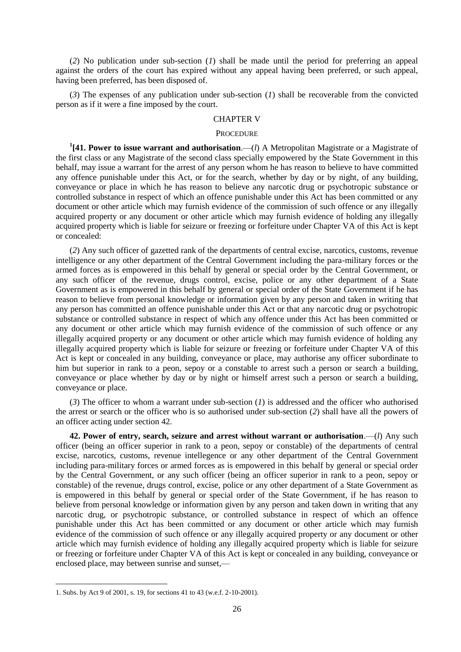(*2*) No publication under sub-section (*1*) shall be made until the period for preferring an appeal against the orders of the court has expired without any appeal having been preferred, or such appeal, having been preferred, has been disposed of.

(*3*) The expenses of any publication under sub-section (*1*) shall be recoverable from the convicted person as if it were a fine imposed by the court.

## CHAPTER V

#### **PROCEDURE**

**1 [41. Power to issue warrant and authorisation**.—(*l*) A Metropolitan Magistrate or a Magistrate of the first class or any Magistrate of the second class specially empowered by the State Government in this behalf, may issue a warrant for the arrest of any person whom he has reason to believe to have committed any offence punishable under this Act, or for the search, whether by day or by night, of any building, conveyance or place in which he has reason to believe any narcotic drug or psychotropic substance or controlled substance in respect of which an offence punishable under this Act has been committed or any document or other article which may furnish evidence of the commission of such offence or any illegally acquired property or any document or other article which may furnish evidence of holding any illegally acquired property which is liable for seizure or freezing or forfeiture under Chapter VA of this Act is kept or concealed:

(*2*) Any such officer of gazetted rank of the departments of central excise, narcotics, customs, revenue intelligence or any other department of the Central Government including the para-military forces or the armed forces as is empowered in this behalf by general or special order by the Central Government, or any such officer of the revenue, drugs control, excise, police or any other department of a State Government as is empowered in this behalf by general or special order of the State Government if he has reason to believe from personal knowledge or information given by any person and taken in writing that any person has committed an offence punishable under this Act or that any narcotic drug or psychotropic substance or controlled substance in respect of which any offence under this Act has been committed or any document or other article which may furnish evidence of the commission of such offence or any illegally acquired property or any document or other article which may furnish evidence of holding any illegally acquired property which is liable for seizure or freezing or forfeiture under Chapter VA of this Act is kept or concealed in any building, conveyance or place, may authorise any officer subordinate to him but superior in rank to a peon, sepoy or a constable to arrest such a person or search a building, conveyance or place whether by day or by night or himself arrest such a person or search a building, conveyance or place.

(*3*) The officer to whom a warrant under sub-section (*1*) is addressed and the officer who authorised the arrest or search or the officer who is so authorised under sub-section (*2*) shall have all the powers of an officer acting under section 42.

**42. Power of entry, search, seizure and arrest without warrant or authorisation**.—(*l*) Any such officer (being an officer superior in rank to a peon, sepoy or constable) of the departments of central excise, narcotics, customs, revenue intellegence or any other department of the Central Government including para-military forces or armed forces as is empowered in this behalf by general or special order by the Central Government, or any such officer (being an officer superior in rank to a peon, sepoy or constable) of the revenue, drugs control, excise, police or any other department of a State Government as is empowered in this behalf by general or special order of the State Government, if he has reason to believe from personal knowledge or information given by any person and taken down in writing that any narcotic drug, or psychotropic substance, or controlled substance in respect of which an offence punishable under this Act has been committed or any document or other article which may furnish evidence of the commission of such offence or any illegally acquired property or any document or other article which may furnish evidence of holding any illegally acquired property which is liable for seizure or freezing or forfeiture under Chapter VA of this Act is kept or concealed in any building, conveyance or enclosed place, may between sunrise and sunset,—

<sup>1.</sup> Subs. by Act 9 of 2001, s. 19, for sections 41 to 43 (w.e.f. 2-10-2001).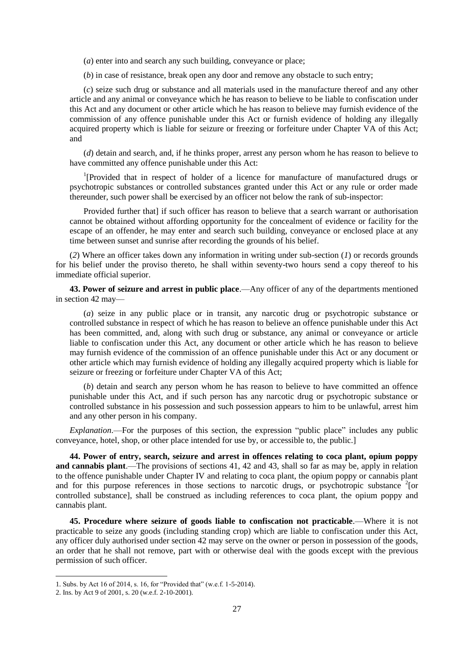(*a*) enter into and search any such building, conveyance or place;

(*b*) in case of resistance, break open any door and remove any obstacle to such entry;

(*c*) seize such drug or substance and all materials used in the manufacture thereof and any other article and any animal or conveyance which he has reason to believe to be liable to confiscation under this Act and any document or other article which he has reason to believe may furnish evidence of the commission of any offence punishable under this Act or furnish evidence of holding any illegally acquired property which is liable for seizure or freezing or forfeiture under Chapter VA of this Act; and

(*d*) detain and search, and, if he thinks proper, arrest any person whom he has reason to believe to have committed any offence punishable under this Act:

<sup>1</sup>[Provided that in respect of holder of a licence for manufacture of manufactured drugs or psychotropic substances or controlled substances granted under this Act or any rule or order made thereunder, such power shall be exercised by an officer not below the rank of sub-inspector:

Provided further that] if such officer has reason to believe that a search warrant or authorisation cannot be obtained without affording opportunity for the concealment of evidence or facility for the escape of an offender, he may enter and search such building, conveyance or enclosed place at any time between sunset and sunrise after recording the grounds of his belief.

(*2*) Where an officer takes down any information in writing under sub-section (*1*) or records grounds for his belief under the proviso thereto, he shall within seventy-two hours send a copy thereof to his immediate official superior.

**43. Power of seizure and arrest in public place**.—Any officer of any of the departments mentioned in section 42 may—

(*a*) seize in any public place or in transit, any narcotic drug or psychotropic substance or controlled substance in respect of which he has reason to believe an offence punishable under this Act has been committed, and, along with such drug or substance, any animal or conveyance or article liable to confiscation under this Act, any document or other article which he has reason to believe may furnish evidence of the commission of an offence punishable under this Act or any document or other article which may furnish evidence of holding any illegally acquired property which is liable for seizure or freezing or forfeiture under Chapter VA of this Act;

(*b*) detain and search any person whom he has reason to believe to have committed an offence punishable under this Act, and if such person has any narcotic drug or psychotropic substance or controlled substance in his possession and such possession appears to him to be unlawful, arrest him and any other person in his company.

*Explanation*.—For the purposes of this section, the expression "public place" includes any public conveyance, hotel, shop, or other place intended for use by, or accessible to, the public.]

**44. Power of entry, search, seizure and arrest in offences relating to coca plant, opium poppy and cannabis plant**.—The provisions of sections 41, 42 and 43, shall so far as may be, apply in relation to the offence punishable under Chapter IV and relating to coca plant, the opium poppy or cannabis plant and for this purpose references in those sections to narcotic drugs, or psychotropic substance <sup>2</sup>[or controlled substance], shall be construed as including references to coca plant, the opium poppy and cannabis plant.

**45. Procedure where seizure of goods liable to confiscation not practicable**.—Where it is not practicable to seize any goods (including standing crop) which are liable to confiscation under this Act, any officer duly authorised under section 42 may serve on the owner or person in possession of the goods, an order that he shall not remove, part with or otherwise deal with the goods except with the previous permission of such officer.

<sup>1.</sup> Subs. by Act 16 of 2014, s. 16, for "Provided that" (w.e.f. 1-5-2014).

<sup>2.</sup> Ins. by Act 9 of 2001, s. 20 (w.e.f. 2-10-2001).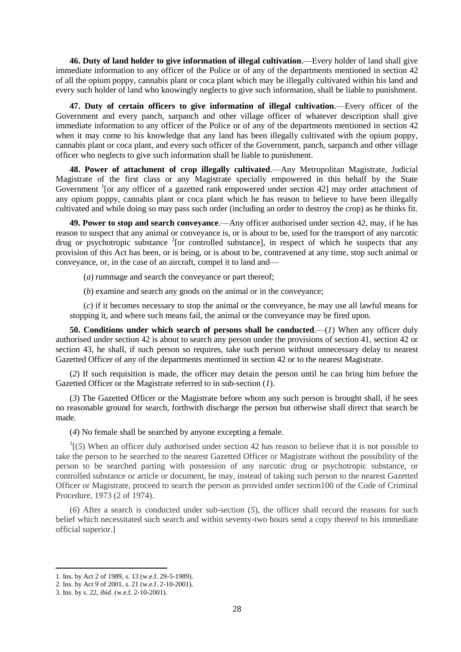**46. Duty of land holder to give information of illegal cultivation**.—Every holder of land shall give immediate information to any officer of the Police or of any of the departments mentioned in section 42 of all the opium poppy, cannabis plant or coca plant which may be illegally cultivated within his land and every such holder of land who knowingly neglects to give such information, shall be liable to punishment.

**47. Duty of certain officers to give information of illegal cultivation**.—Every officer of the Government and every panch, sarpanch and other village officer of whatever description shall give immediate information to any officer of the Police or of any of the departments mentioned in section 42 when it may come to his knowledge that any land has been illegally cultivated with the opium poppy, cannabis plant or coca plant, and every such officer of the Government, panch, sarpanch and other village officer who neglects to give such information shall be liable to punishment.

**48. Power of attachment of crop illegally cultivated**.—Any Metropolitan Magistrate, Judicial Magistrate of the first class or any Magistrate specially empowered in this behalf by the State Government <sup>1</sup>[or any officer of a gazetted rank empowered under section 42] may order attachment of any opium poppy, cannabis plant or coca plant which he has reason to believe to have been illegally cultivated and while doing so may pass such order (including an order to destroy the crop) as he thinks fit.

**49. Power to stop and search conveyance**.—Any officer authorised under section 42, may, if he has reason to suspect that any animal or conveyance is, or is about to be, used for the transport of any narcotic drug or psychotropic substance  $2$ [or controlled substance], in respect of which he suspects that any provision of this Act has been, or is being, or is about to be, contravened at any time, stop such animal or conveyance, or, in the case of an aircraft, compel it to land and—

(*a*) rummage and search the conveyance or part thereof;

(*b*) examine and search any goods on the animal or in the conveyance;

(*c*) if it becomes necessary to stop the animal or the conveyance, he may use all lawful means for stopping it, and where such means fail, the animal or the conveyance may be fired upon.

**50. Conditions under which search of persons shall be conducted**.—(*1*) When any officer duly authorised under section 42 is about to search any person under the provisions of section 41, section 42 or section 43, he shall, if such person so requires, take such person without unnecessary delay to nearest Gazetted Officer of any of the departments mentioned in section 42 or to the nearest Magistrate.

(*2*) If such requisition is made, the officer may detain the person until he can bring him before the Gazetted Officer or the Magistrate referred to in sub-section (*1*).

(*3*) The Gazetted Officer or the Magistrate before whom any such person is brought shall, if he sees no reasonable ground for search, forthwith discharge the person but otherwise shall direct that search be made.

(*4*) No female shall be searched by anyone excepting a female.

 $3(5)$  When an officer duly authorised under section 42 has reason to believe that it is not possible to take the person to be searched to the nearest Gazetted Officer or Magistrate without the possibility of the person to be searched parting with possession of any narcotic drug or psychotropic substance, or controlled substance or article or document, he may, instead of taking such person to the nearest Gazetted Officer or Magistrate, proceed to search the person as provided under section100 of the Code of Criminal Procedure, 1973 (2 of 1974).

(*6*) After a search is conducted under sub-section (*5*), the officer shall record the reasons for such belief which necessitated such search and within seventy-two hours send a copy thereof to his immediate official superior.]

<sup>1.</sup> Ins. by Act 2 of 1989, s. 13 (w.e.f. 29-5-1989).

<sup>2.</sup> Ins. by Act 9 of 2001, s. 21 (w.e.f. 2-10-2001).

<sup>3.</sup> Ins. by s. 22, *ibid*. (w.e.f. 2-10-2001).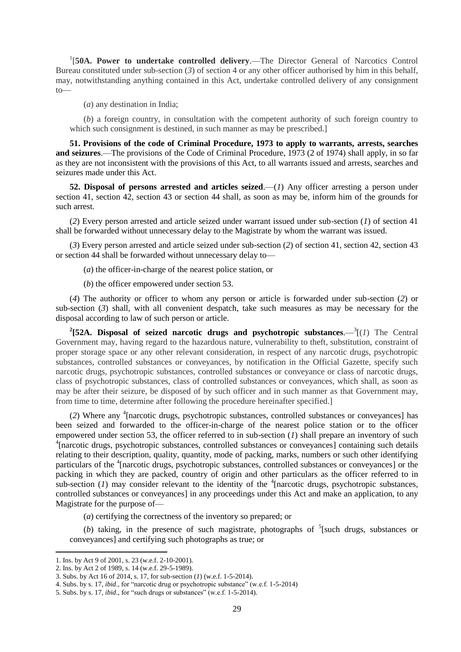1 [**50A. Power to undertake controlled delivery**.—The Director General of Narcotics Control Bureau constituted under sub-section (*3*) of section 4 or any other officer authorised by him in this behalf, may, notwithstanding anything contained in this Act, undertake controlled delivery of any consignment to—

(*a*) any destination in India;

(*b*) a foreign country, in consultation with the competent authority of such foreign country to which such consignment is destined, in such manner as may be prescribed.

**51. Provisions of the code of Criminal Procedure, 1973 to apply to warrants, arrests, searches and seizures**.—The provisions of the Code of Criminal Procedure, 1973 (2 of 1974) shall apply, in so far as they are not inconsistent with the provisions of this Act, to all warrants issued and arrests, searches and seizures made under this Act.

**52. Disposal of persons arrested and articles seized**.—(*1*) Any officer arresting a person under section 41, section 42, section 43 or section 44 shall, as soon as may be, inform him of the grounds for such arrest.

(*2*) Every person arrested and article seized under warrant issued under sub-section (*1*) of section 41 shall be forwarded without unnecessary delay to the Magistrate by whom the warrant was issued.

(*3*) Every person arrested and article seized under sub-section (*2*) of section 41, section 42, section 43 or section 44 shall be forwarded without unnecessary delay to—

(*a*) the officer-in-charge of the nearest police station, or

(*b*) the officer empowered under section 53.

(*4*) The authority or officer to whom any person or article is forwarded under sub-section (*2*) or sub-section (*3*) shall, with all convenient despatch, take such measures as may be necessary for the disposal according to law of such person or article.

<sup>2</sup>(52A. Disposal of seized narcotic drugs and psychotropic substances.— $\frac{3}{4}$ (1) The Central Government may, having regard to the hazardous nature, vulnerability to theft, substitution, constraint of proper storage space or any other relevant consideration, in respect of any narcotic drugs, psychotropic substances, controlled substances or conveyances, by notification in the Official Gazette, specify such narcotic drugs, psychotropic substances, controlled substances or conveyance or class of narcotic drugs, class of psychotropic substances, class of controlled substances or conveyances, which shall, as soon as may be after their seizure, be disposed of by such officer and in such manner as that Government may, from time to time, determine after following the procedure hereinafter specified.]

(*2*) Where any <sup>4</sup> [narcotic drugs, psychotropic substances, controlled substances or conveyances] has been seized and forwarded to the officer-in-charge of the nearest police station or to the officer empowered under section 53, the officer referred to in sub-section (*1*) shall prepare an inventory of such <sup>4</sup>[narcotic drugs, psychotropic substances, controlled substances or conveyances] containing such details relating to their description, quality, quantity, mode of packing, marks, numbers or such other identifying particulars of the <sup>4</sup>[narcotic drugs, psychotropic substances, controlled substances or conveyances] or the packing in which they are packed, country of origin and other particulars as the officer referred to in sub-section  $(I)$  may consider relevant to the identity of the <sup>4</sup>[narcotic drugs, psychotropic substances, controlled substances or conveyances] in any proceedings under this Act and make an application, to any Magistrate for the purpose of—

(*a*) certifying the correctness of the inventory so prepared; or

(b) taking, in the presence of such magistrate, photographs of  $5$ [such drugs, substances or conveyances] and certifying such photographs as true; or

<sup>1.</sup> Ins. by Act 9 of 2001, s. 23 (w.e.f. 2-10-2001).

<sup>2.</sup> Ins. by Act 2 of 1989, s. 14 (w.e.f. 29-5-1989).

<sup>3.</sup> Subs. by Act 16 of 2014, s. 17, for sub-section (*1*) (w.e.f. 1-5-2014).

<sup>4.</sup> Subs. by s. 17, *ibid*., for "narcotic drug or psychotropic substance" (w.e.f. 1-5-2014)

<sup>5.</sup> Subs. by s. 17, *ibid*., for "such drugs or substances" (w.e.f. 1-5-2014).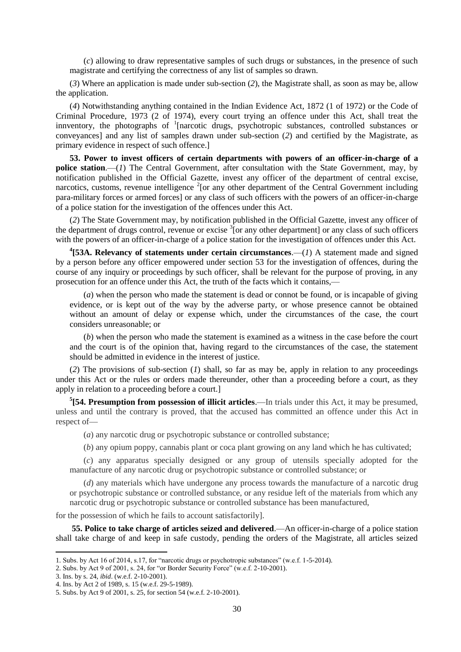(*c*) allowing to draw representative samples of such drugs or substances, in the presence of such magistrate and certifying the correctness of any list of samples so drawn.

(*3*) Where an application is made under sub-section (*2*), the Magistrate shall, as soon as may be, allow the application.

(*4*) Notwithstanding anything contained in the Indian Evidence Act, 1872 (1 of 1972) or the Code of Criminal Procedure, 1973 (2 of 1974), every court trying an offence under this Act, shall treat the innventory, the photographs of <sup>1</sup>[narcotic drugs, psychotropic substances, controlled substances or conveyances] and any list of samples drawn under sub-section (*2*) and certified by the Magistrate, as primary evidence in respect of such offence.]

**53. Power to invest officers of certain departments with powers of an officer-in-charge of a police station**.—(*1*) The Central Government, after consultation with the State Government, may, by notification published in the Official Gazette, invest any officer of the department of central excise, narcotics, customs, revenue intelligence  $2$  [or any other department of the Central Government including para-military forces or armed forces] or any class of such officers with the powers of an officer-in-charge of a police station for the investigation of the offences under this Act.

(*2*) The State Government may, by notification published in the Official Gazette, invest any officer of the department of drugs control, revenue or excise  $\frac{3}{1}$  or any other department] or any class of such officers with the powers of an officer-in-charge of a police station for the investigation of offences under this Act.

<sup>4</sup>[53A. Relevancy of statements under certain circumstances.— $(l)$  A statement made and signed by a person before any officer empowered under section 53 for the investigation of offences, during the course of any inquiry or proceedings by such officer, shall be relevant for the purpose of proving, in any prosecution for an offence under this Act, the truth of the facts which it contains,—

(*a*) when the person who made the statement is dead or connot be found, or is incapable of giving evidence, or is kept out of the way by the adverse party, or whose presence cannot be obtained without an amount of delay or expense which, under the circumstances of the case, the court considers unreasonable; or

(*b*) when the person who made the statement is examined as a witness in the case before the court and the court is of the opinion that, having regard to the circumstances of the case, the statement should be admitted in evidence in the interest of justice.

(*2*) The provisions of sub-section (*1*) shall, so far as may be, apply in relation to any proceedings under this Act or the rules or orders made thereunder, other than a proceeding before a court, as they apply in relation to a proceeding before a court.]

**5 [54. Presumption from possession of illicit articles**.—In trials under this Act, it may be presumed, unless and until the contrary is proved, that the accused has committed an offence under this Act in respect of-

(*a*) any narcotic drug or psychotropic substance or controlled substance;

(*b*) any opium poppy, cannabis plant or coca plant growing on any land which he has cultivated;

(*c*) any apparatus specially designed or any group of utensils specially adopted for the manufacture of any narcotic drug or psychotropic substance or controlled substance; or

(*d*) any materials which have undergone any process towards the manufacture of a narcotic drug or psychotropic substance or controlled substance, or any residue left of the materials from which any narcotic drug or psychotropic substance or controlled substance has been manufactured,

for the possession of which he fails to account satisfactorily].

**55. Police to take charge of articles seized and delivered**.—An officer-in-charge of a police station shall take charge of and keep in safe custody, pending the orders of the Magistrate, all articles seized

<sup>1.</sup> Subs. by Act 16 of 2014, s.17, for "narcotic drugs or psychotropic substances" (w.e.f. 1-5-2014).

<sup>2.</sup> Subs. by Act 9 of 2001, s. 24, for "or Border Security Force" (w.e.f. 2-10-2001).

<sup>3.</sup> Ins. by s. 24, *ibid*. (w.e.f. 2-10-2001).

<sup>4.</sup> Ins. by Act 2 of 1989, s. 15 (w.e.f. 29-5-1989).

<sup>5.</sup> Subs. by Act 9 of 2001, s. 25, for section 54 (w.e.f. 2-10-2001).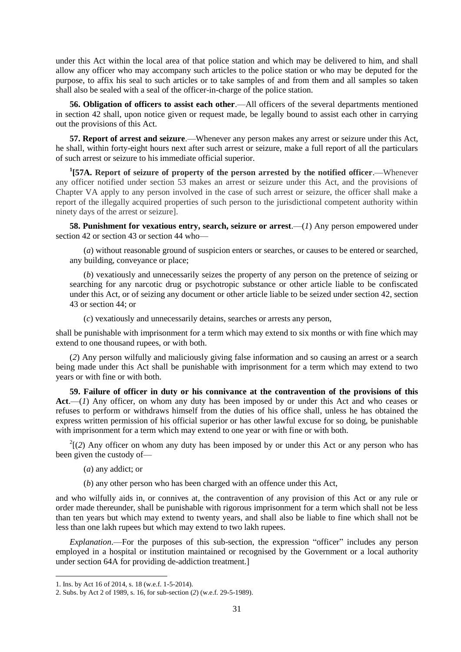under this Act within the local area of that police station and which may be delivered to him, and shall allow any officer who may accompany such articles to the police station or who may be deputed for the purpose, to affix his seal to such articles or to take samples of and from them and all samples so taken shall also be sealed with a seal of the officer-in-charge of the police station.

**56. Obligation of officers to assist each other**.—All officers of the several departments mentioned in section 42 shall, upon notice given or request made, be legally bound to assist each other in carrying out the provisions of this Act.

**57. Report of arrest and seizure**.—Whenever any person makes any arrest or seizure under this Act, he shall, within forty-eight hours next after such arrest or seizure, make a full report of all the particulars of such arrest or seizure to his immediate official superior.

**1 [57A. Report of seizure of property of the person arrested by the notified officer**.—Whenever any officer notified under section 53 makes an arrest or seizure under this Act, and the provisions of Chapter VA apply to any person involved in the case of such arrest or seizure, the officer shall make a report of the illegally acquired properties of such person to the jurisdictional competent authority within ninety days of the arrest or seizure].

**58. Punishment for vexatious entry, search, seizure or arrest**.—(*1*) Any person empowered under section 42 or section 43 or section 44 who—

(*a*) without reasonable ground of suspicion enters or searches, or causes to be entered or searched, any building, conveyance or place;

(*b*) vexatiously and unnecessarily seizes the property of any person on the pretence of seizing or searching for any narcotic drug or psychotropic substance or other article liable to be confiscated under this Act, or of seizing any document or other article liable to be seized under section 42, section 43 or section 44; or

(*c*) vexatiously and unnecessarily detains, searches or arrests any person,

shall be punishable with imprisonment for a term which may extend to six months or with fine which may extend to one thousand rupees, or with both.

(*2*) Any person wilfully and maliciously giving false information and so causing an arrest or a search being made under this Act shall be punishable with imprisonment for a term which may extend to two years or with fine or with both.

**59. Failure of officer in duty or his connivance at the contravention of the provisions of this**  Act.—(*1*) Any officer, on whom any duty has been imposed by or under this Act and who ceases or refuses to perform or withdraws himself from the duties of his office shall, unless he has obtained the express written permission of his official superior or has other lawful excuse for so doing, be punishable with imprisonment for a term which may extend to one year or with fine or with both.

 $2^{2}$ [(2) Any officer on whom any duty has been imposed by or under this Act or any person who has been given the custody of—

- (*a*) any addict; or
- (*b*) any other person who has been charged with an offence under this Act,

and who wilfully aids in, or connives at, the contravention of any provision of this Act or any rule or order made thereunder, shall be punishable with rigorous imprisonment for a term which shall not be less than ten years but which may extend to twenty years, and shall also be liable to fine which shall not be less than one lakh rupees but which may extend to two lakh rupees.

*Explanation*.—For the purposes of this sub-section, the expression "officer" includes any person employed in a hospital or institution maintained or recognised by the Government or a local authority under section 64A for providing de-addiction treatment.]

<sup>1.</sup> Ins. by Act 16 of 2014, s. 18 (w.e.f. 1-5-2014).

<sup>2.</sup> Subs. by Act 2 of 1989, s. 16, for sub-section (*2*) (w.e.f. 29-5-1989).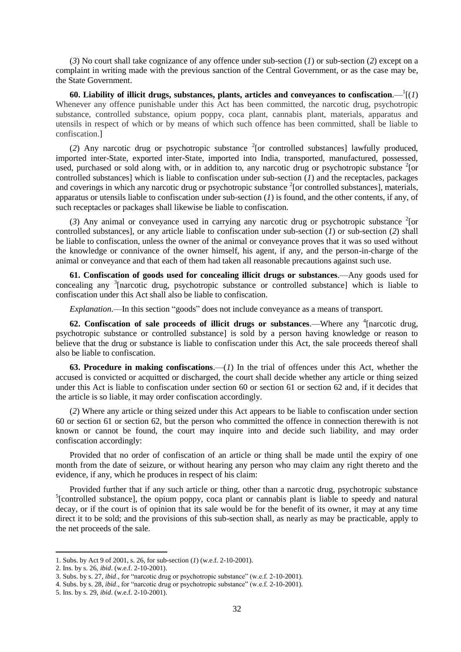(*3*) No court shall take cognizance of any offence under sub-section (*1*) or sub-section (*2*) except on a complaint in writing made with the previous sanction of the Central Government, or as the case may be, the State Government.

60. Liability of illicit drugs, substances, plants, articles and conveyances to confiscation. $-\frac{1}{1}(1)$ Whenever any offence punishable under this Act has been committed, the narcotic drug, psychotropic substance, controlled substance, opium poppy, coca plant, cannabis plant, materials, apparatus and utensils in respect of which or by means of which such offence has been committed, shall be liable to confiscation.]

(2) Any narcotic drug or psychotropic substance  $2$  [or controlled substances] lawfully produced, imported inter-State, exported inter-State, imported into India, transported, manufactured, possessed, used, purchased or sold along with, or in addition to, any narcotic drug or psychotropic substance <sup>2</sup>[or controlled substances] which is liable to confiscation under sub-section (*1*) and the receptacles, packages and coverings in which any narcotic drug or psychotropic substance  $2$ [or controlled substances], materials, apparatus or utensils liable to confiscation under sub-section (*1*) is found, and the other contents, if any, of such receptacles or packages shall likewise be liable to confiscation.

(3) Any animal or conveyance used in carrying any narcotic drug or psychotropic substance  $2$ [or controlled substances], or any article liable to confiscation under sub-section (*1*) or sub-section (*2*) shall be liable to confiscation, unless the owner of the animal or conveyance proves that it was so used without the knowledge or connivance of the owner himself, his agent, if any, and the person-in-charge of the animal or conveyance and that each of them had taken all reasonable precautions against such use.

**61. Confiscation of goods used for concealing illicit drugs or substances**.—Any goods used for concealing any <sup>3</sup>[narcotic drug, psychotropic substance or controlled substance] which is liable to confiscation under this Act shall also be liable to confiscation.

*Explanation*.—In this section "goods" does not include conveyance as a means of transport.

62. Confiscation of sale proceeds of illicit drugs or substances.—Where any <sup>4</sup>[narcotic drug, psychotropic substance or controlled substance] is sold by a person having knowledge or reason to believe that the drug or substance is liable to confiscation under this Act, the sale proceeds thereof shall also be liable to confiscation.

**63. Procedure in making confiscations**.—(*1*) In the trial of offences under this Act, whether the accused is convicted or acquitted or discharged, the court shall decide whether any article or thing seized under this Act is liable to confiscation under section 60 or section 61 or section 62 and, if it decides that the article is so liable, it may order confiscation accordingly.

(*2*) Where any article or thing seized under this Act appears to be liable to confiscation under section 60 or section 61 or section 62, but the person who committed the offence in connection therewith is not known or cannot be found, the court may inquire into and decide such liability, and may order confiscation accordingly:

Provided that no order of confiscation of an article or thing shall be made until the expiry of one month from the date of seizure, or without hearing any person who may claim any right thereto and the evidence, if any, which he produces in respect of his claim:

Provided further that if any such article or thing, other than a narcotic drug, psychotropic substance <sup>5</sup>[controlled substance], the opium poppy, coca plant or cannabis plant is liable to speedy and natural decay, or if the court is of opinion that its sale would be for the benefit of its owner, it may at any time direct it to be sold; and the provisions of this sub-section shall, as nearly as may be practicable, apply to the net proceeds of the sale.

<sup>1.</sup> Subs. by Act 9 of 2001, s. 26, for sub-section (*1*) (w.e.f. 2-10-2001).

<sup>2.</sup> Ins. by s. 26, *ibid*. (w.e.f. 2-10-2001).

<sup>3.</sup> Subs. by s. 27, *ibid*., for "narcotic drug or psychotropic substance" (w.e.f. 2-10-2001).

<sup>4.</sup> Subs. by s. 28, *ibid*., for "narcotic drug or psychotropic substance" (w.e.f. 2-10-2001).

<sup>5.</sup> Ins. by s. 29, *ibid*. (w.e.f. 2-10-2001).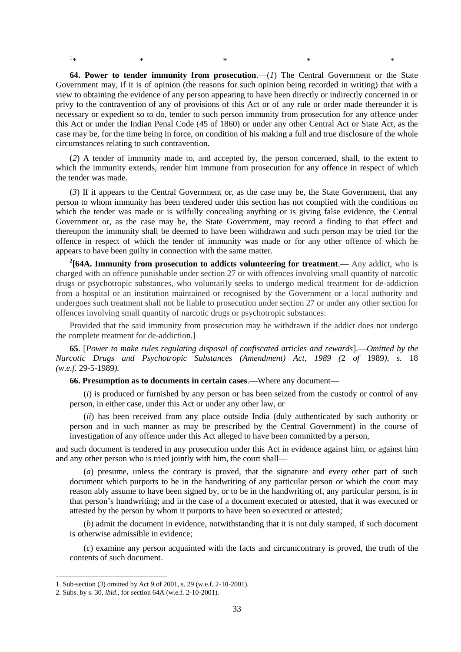$1_{\ast}$  $*$   $*$   $*$   $*$   $*$   $*$   $*$ 

**64. Power to tender immunity from prosecution**.—(*1*) The Central Government or the State Government may, if it is of opinion (the reasons for such opinion being recorded in writing) that with a view to obtaining the evidence of any person appearing to have been directly or indirectly concerned in or privy to the contravention of any of provisions of this Act or of any rule or order made thereunder it is necessary or expedient so to do, tender to such person immunity from prosecution for any offence under this Act or under the Indian Penal Code (45 of 1860) or under any other Central Act or State Act, as the case may be, for the time being in force, on condition of his making a full and true disclosure of the whole circumstances relating to such contravention.

(*2*) A tender of immunity made to, and accepted by, the person concerned, shall, to the extent to which the immunity extends, render him immune from prosecution for any offence in respect of which the tender was made.

(*3*) If it appears to the Central Government or, as the case may be, the State Government, that any person to whom immunity has been tendered under this section has not complied with the conditions on which the tender was made or is wilfully concealing anything or is giving false evidence, the Central Government or, as the case may be, the State Government, may record a finding to that effect and thereupon the immunity shall be deemed to have been withdrawn and such person may be tried for the offence in respect of which the tender of immunity was made or for any other offence of which he appears to have been guilty in connection with the same matter.

<sup>2</sup>[64A. Immunity from prosecution to addicts volunteering for treatment.— Any addict, who is charged with an offence punishable under section 27 or with offences involving small quantity of narcotic drugs or psychotropic substances, who voluntarily seeks to undergo medical treatment for de-addiction from a hospital or an institution maintained or recognised by the Government or a local authority and undergoes such treatment shall not be liable to prosecution under section 27 or under any other section for offences involving small quantity of narcotic drugs or psychotropic substances:

Provided that the said immunity from prosecution may be withdrawn if the addict does not undergo the complete treatment for de-addiction.]

**65**. [*Power to make rules regulating disposal of confiscated articles and rewards*].—*Omitted by the Narcotic Drugs and Psychotropic Substances (Amendment) Act, 1989 (*2 *of* 1989*), s.* 18 *(w.e.f.* 29-5-1989*).*

**66. Presumption as to documents in certain cases**.—Where any document—

(*i*) is produced or furnished by any person or has been seized from the custody or control of any person, in either case, under this Act or under any other law, or

(*ii*) has been received from any place outside India (duly authenticated by such authority or person and in such manner as may be prescribed by the Central Government) in the course of investigation of any offence under this Act alleged to have been committed by a person,

and such document is tendered in any prosecution under this Act in evidence against him, or against him and any other person who is tried jointly with him, the court shall—

(*a*) presume, unless the contrary is proved, that the signature and every other part of such document which purports to be in the handwriting of any particular person or which the court may reason ably assume to have been signed by, or to be in the handwriting of, any particular person, is in that person's handwriting; and in the case of a document executed or attested, that it was executed or attested by the person by whom it purports to have been so executed or attested;

(*b*) admit the document in evidence, notwithstanding that it is not duly stamped, if such document is otherwise admissible in evidence;

(*c*) examine any person acquainted with the facts and circumcontrary is proved, the truth of the contents of such document.

<sup>1.</sup> Sub-section (*3*) omitted by Act 9 of 2001, s. 29 (w.e.f. 2-10-2001).

<sup>2.</sup> Subs. by s. 30, *ibid*., for section 64A (w.e.f. 2-10-2001).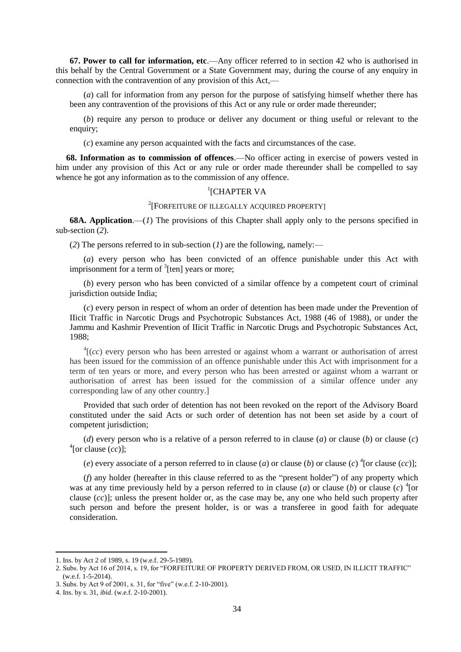**67. Power to call for information, etc**.—Any officer referred to in section 42 who is authorised in this behalf by the Central Government or a State Government may, during the course of any enquiry in connection with the contravention of any provision of this Act,—

(*a*) call for information from any person for the purpose of satisfying himself whether there has been any contravention of the provisions of this Act or any rule or order made thereunder;

(*b*) require any person to produce or deliver any document or thing useful or relevant to the enquiry;

(*c*) examine any person acquainted with the facts and circumstances of the case.

**68. Information as to commission of offences**.—No officer acting in exercise of powers vested in him under any provision of this Act or any rule or order made thereunder shall be compelled to say whence he got any information as to the commission of any offence.

# <sup>1</sup>[CHAPTER VA

# 2 [FORFEITURE OF ILLEGALLY ACQUIRED PROPERTY]

**68A. Application**.—(*1*) The provisions of this Chapter shall apply only to the persons specified in sub-section (*2*).

(*2*) The persons referred to in sub-section (*1*) are the following, namely:—

(*a*) every person who has been convicted of an offence punishable under this Act with imprisonment for a term of  $3$ [ten] years or more;

(*b*) every person who has been convicted of a similar offence by a competent court of criminal jurisdiction outside India;

(*c*) every person in respect of whom an order of detention has been made under the Prevention of IIicit Traffic in Narcotic Drugs and Psychotropic Substances Act, 1988 (46 of 1988), or under the Jammu and Kashmir Prevention of IIicit Traffic in Narcotic Drugs and Psychotropic Substances Act, 1988;

 ${}^{4}$ [(*cc*) every person who has been arrested or against whom a warrant or authorisation of arrest has been issued for the commission of an offence punishable under this Act with imprisonment for a term of ten years or more, and every person who has been arrested or against whom a warrant or authorisation of arrest has been issued for the commission of a similar offence under any corresponding law of any other country.]

Provided that such order of detention has not been revoked on the report of the Advisory Board constituted under the said Acts or such order of detention has not been set aside by a court of competent jurisdiction;

(*d*) every person who is a relative of a person referred to in clause (*a*) or clause (*b*) or clause (*c*)  $^{4}$ [or clause  $\overline{(cc)}$ ];

(*e*) every associate of a person referred to in clause (*a*) or clause (*b*) or clause (*c*)<sup>4</sup> [or clause (*cc*)];

(*f*) any holder (hereafter in this clause referred to as the "present holder") of any property which was at any time previously held by a person referred to in clause (*a*) or clause (*b*) or clause (*c*)  $^{4}$ [or clause (*cc*)]; unless the present holder or, as the case may be, any one who held such property after such person and before the present holder, is or was a transferee in good faith for adequate consideration.

<sup>1.</sup> Ins. by Act 2 of 1989, s. 19 (w.e.f. 29-5-1989).

<sup>2.</sup> Subs. by Act 16 of 2014, s. 19, for "FORFEITURE OF PROPERTY DERIVED FROM, OR USED, IN ILLICIT TRAFFIC" (w.e.f. 1-5-2014).

<sup>3.</sup> Subs. by Act 9 of 2001, s. 31, for "five" (w.e.f. 2-10-2001).

<sup>4.</sup> Ins. by s. 31, *ibid*. (w.e.f. 2-10-2001).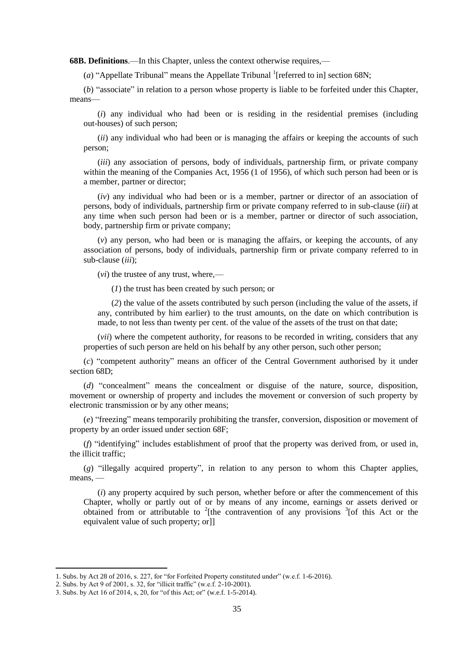**68B. Definitions**.—In this Chapter, unless the context otherwise requires,—

( $a$ ) "Appellate Tribunal" means the Appellate Tribunal <sup>1</sup>[referred to in] section 68N;

(*b*) "associate" in relation to a person whose property is liable to be forfeited under this Chapter, means—

(*i*) any individual who had been or is residing in the residential premises (including out-houses) of such person;

(*ii*) any individual who had been or is managing the affairs or keeping the accounts of such person;

(*iii*) any association of persons, body of individuals, partnership firm, or private company within the meaning of the Companies Act, 1956 (1 of 1956), of which such person had been or is a member, partner or director;

(*iv*) any individual who had been or is a member, partner or director of an association of persons, body of individuals, partnership firm or private company referred to in sub-clause (*iii*) at any time when such person had been or is a member, partner or director of such association, body, partnership firm or private company;

(*v*) any person, who had been or is managing the affairs, or keeping the accounts, of any association of persons, body of individuals, partnership firm or private company referred to in sub-clause (*iii*);

(*vi*) the trustee of any trust, where,—

(*1*) the trust has been created by such person; or

(*2*) the value of the assets contributed by such person (including the value of the assets, if any, contributed by him earlier) to the trust amounts, on the date on which contribution is made, to not less than twenty per cent. of the value of the assets of the trust on that date;

(*vii*) where the competent authority, for reasons to be recorded in writing, considers that any properties of such person are held on his behalf by any other person, such other person;

(*c*) "competent authority" means an officer of the Central Government authorised by it under section 68D:

(*d*) "concealment" means the concealment or disguise of the nature, source, disposition, movement or ownership of property and includes the movement or conversion of such property by electronic transmission or by any other means;

(*e*) "freezing" means temporarily prohibiting the transfer, conversion, disposition or movement of property by an order issued under section 68F;

(*f*) "identifying" includes establishment of proof that the property was derived from, or used in, the illicit traffic;

(*g*) "illegally acquired property", in relation to any person to whom this Chapter applies, means, —

(*i*) any property acquired by such person, whether before or after the commencement of this Chapter, wholly or partly out of or by means of any income, earnings or assets derived or obtained from or attributable to  $2$ [the contravention of any provisions  $3$ [of this Act or the equivalent value of such property; or]]

<sup>1.</sup> Subs. by Act 28 of 2016, s. 227, for "for Forfeited Property constituted under" (w.e.f. 1-6-2016).

<sup>2.</sup> Subs. by Act 9 of 2001, s. 32, for "illicit traffic" (w.e.f. 2-10-2001).

<sup>3.</sup> Subs. by Act 16 of 2014, s, 20, for "of this Act; or" (w.e.f. 1-5-2014).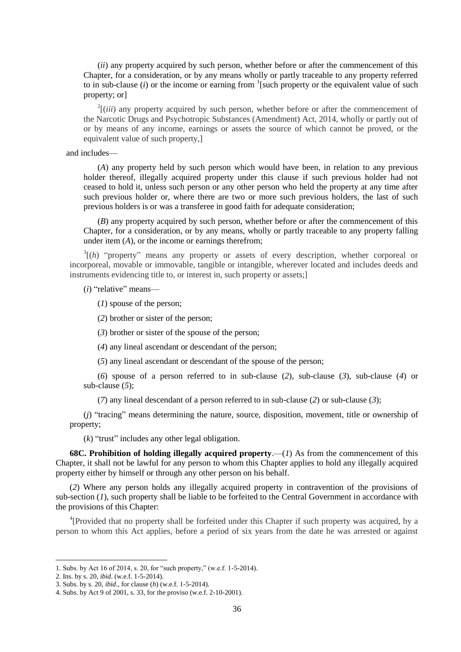(*ii*) any property acquired by such person, whether before or after the commencement of this Chapter, for a consideration, or by any means wholly or partly traceable to any property referred to in sub-clause  $(i)$  or the income or earning from  $\frac{1}{2}$  [such property or the equivalent value of such property; or]

 $2$ [(*iii*) any property acquired by such person, whether before or after the commencement of the Narcotic Drugs and Psychotropic Substances (Amendment) Act, 2014, wholly or partly out of or by means of any income, earnings or assets the source of which cannot be proved, or the equivalent value of such property,]

and includes—

(*A*) any property held by such person which would have been, in relation to any previous holder thereof, illegally acquired property under this clause if such previous holder had not ceased to hold it, unless such person or any other person who held the property at any time after such previous holder or, where there are two or more such previous holders, the last of such previous holders is or was a transferee in good faith for adequate consideration;

(*B*) any property acquired by such person, whether before or after the commencement of this Chapter, for a consideration, or by any means, wholly or partly traceable to any property falling under item (*A*), or the income or earnings therefrom;

 $3\vert(h)$  "property" means any property or assets of every description, whether corporeal or incorporeal, movable or immovable, tangible or intangible, wherever located and includes deeds and instruments evidencing title to, or interest in, such property or assets;]

(*i*) "relative" means—

(*1*) spouse of the person;

(*2*) brother or sister of the person;

(*3*) brother or sister of the spouse of the person;

(*4*) any lineal ascendant or descendant of the person;

(*5*) any lineal ascendant or descendant of the spouse of the person;

(*6*) spouse of a person referred to in sub-clause (*2*), sub-clause (*3*), sub-clause (*4*) or sub-clause (*5*);

(*7*) any lineal descendant of a person referred to in sub-clause (*2*) or sub-clause (*3*);

(*j*) "tracing" means determining the nature, source, disposition, movement, title or ownership of property;

(*k*) "trust" includes any other legal obligation.

**68C. Prohibition of holding illegally acquired property**.—(*1*) As from the commencement of this Chapter, it shall not be lawful for any person to whom this Chapter applies to hold any illegally acquired property either by himself or through any other person on his behalf.

(*2*) Where any person holds any illegally acquired property in contravention of the provisions of sub-section (*1*), such property shall be liable to be forfeited to the Central Government in accordance with the provisions of this Chapter:

<sup>4</sup>[Provided that no property shall be forfeited under this Chapter if such property was acquired, by a person to whom this Act applies, before a period of six years from the date he was arrested or against

<sup>1.</sup> Subs. by Act 16 of 2014, s. 20, for "such property," (w.e.f. 1-5-2014).

<sup>2.</sup> Ins. by s. 20, *ibid*. (w.e.f. 1-5-2014).

<sup>3.</sup> Subs. by s. 20, *ibid*., for clause (*h*) (w.e.f. 1-5-2014).

<sup>4.</sup> Subs. by Act 9 of 2001, s. 33, for the proviso (w.e.f. 2-10-2001).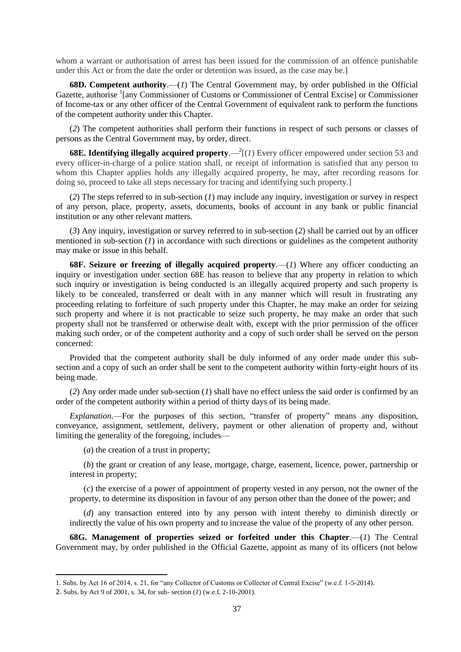whom a warrant or authorisation of arrest has been issued for the commission of an offence punishable under this Act or from the date the order or detention was issued, as the case may be.]

**68D. Competent authority**.—(*1*) The Central Government may, by order published in the Official Gazette, authorise <sup>1</sup>[any Commissioner of Customs or Commissioner of Central Excise] or Commissioner of Income-tax or any other officer of the Central Government of equivalent rank to perform the functions of the competent authority under this Chapter.

(*2*) The competent authorities shall perform their functions in respect of such persons or classes of persons as the Central Government may, by order, direct.

**68E. Identifying illegally acquired property.**  $-\frac{2}{l}(1)$  Every officer empowered under section 53 and every officer-in-charge of a police station shall, or receipt of information is satisfied that any person to whom this Chapter applies holds any illegally acquired property, he may, after recording reasons for doing so, proceed to take all steps necessary for tracing and identifying such property.]

(*2*) The steps referred to in sub-section (*1*) may include any inquiry, investigation or survey in respect of any person, place, property, assets, documents, books of account in any bank or public financial institution or any other relevant matters.

(*3*) Any inquiry, investigation or survey referred to in sub-section (*2*) shall be carried out by an officer mentioned in sub-section (*1*) in accordance with such directions or guidelines as the competent authority may make or issue in this behalf.

**68F. Seizure or freezing of illegally acquired property**.—(*1*) Where any officer conducting an inquiry or investigation under section 68E has reason to believe that any property in relation to which such inquiry or investigation is being conducted is an illegally acquired property and such property is likely to be concealed, transferred or dealt with in any manner which will result in frustrating any proceeding relating to forfeiture of such property under this Chapter, he may make an order for seizing such property and where it is not practicable to seize such property, he may make an order that such property shall not be transferred or otherwise dealt with, except with the prior permission of the officer making such order, or of the competent authority and a copy of such order shall be served on the person concerned:

Provided that the competent authority shall be duly informed of any order made under this subsection and a copy of such an order shall be sent to the competent authority within forty-eight hours of its being made.

(*2*) Any order made under sub-section (*1*) shall have no effect unless the said order is confirmed by an order of the competent authority within a period of thirty days of its being made.

*Explanation*.—For the purposes of this section, "transfer of property" means any disposition, conveyance, assignment, settlement, delivery, payment or other alienation of property and, without limiting the generality of the foregoing, includes—

(*a*) the creation of a trust in property;

(*b*) the grant or creation of any lease, mortgage, charge, easement, licence, power, partnership or interest in property;

(*c*) the exercise of a power of appointment of property vested in any person, not the owner of the property, to determine its disposition in favour of any person other than the donee of the power; and

(*d*) any transaction entered into by any person with intent thereby to diminish directly or indirectly the value of his own property and to increase the value of the property of any other person.

**68G. Management of properties seized or forfeited under this Chapter**.—(*1*) The Central Government may, by order published in the Official Gazette, appoint as many of its officers (not below

<sup>1.</sup> Subs. by Act 16 of 2014, s. 21, for "any Collector of Customs or Collector of Central Excise" (w.e.f. 1-5-2014).

<sup>2.</sup> Subs. by Act 9 of 2001, s. 34, for sub- section (*1*) (w.e.f. 2-10-2001).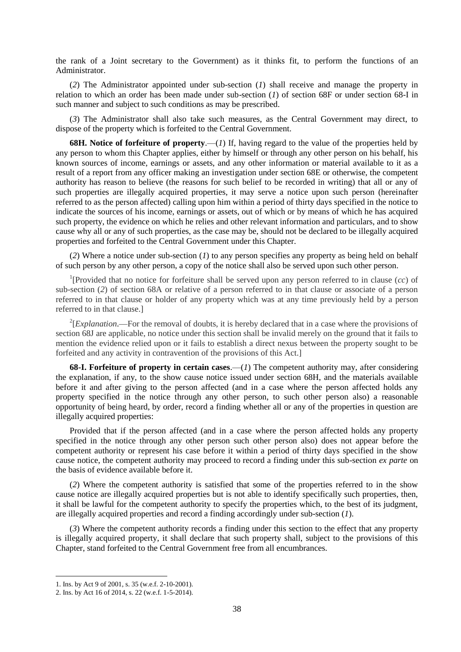the rank of a Joint secretary to the Government) as it thinks fit, to perform the functions of an Administrator.

(*2*) The Administrator appointed under sub-section (*1*) shall receive and manage the property in relation to which an order has been made under sub-section (*1*) of section 68F or under section 68-I in such manner and subject to such conditions as may be prescribed.

(*3*) The Administrator shall also take such measures, as the Central Government may direct, to dispose of the property which is forfeited to the Central Government.

**68H. Notice of forfeiture of property**.—(*1*) If, having regard to the value of the properties held by any person to whom this Chapter applies, either by himself or through any other person on his behalf, his known sources of income, earnings or assets, and any other information or material available to it as a result of a report from any officer making an investigation under section 68E or otherwise, the competent authority has reason to believe (the reasons for such belief to be recorded in writing) that all or any of such properties are illegally acquired properties, it may serve a notice upon such person (hereinafter referred to as the person affected) calling upon him within a period of thirty days specified in the notice to indicate the sources of his income, earnings or assets, out of which or by means of which he has acquired such property, the evidence on which he relies and other relevant information and particulars, and to show cause why all or any of such properties, as the case may be, should not be declared to be illegally acquired properties and forfeited to the Central Government under this Chapter.

(*2*) Where a notice under sub-section (*1*) to any person specifies any property as being held on behalf of such person by any other person, a copy of the notice shall also be served upon such other person.

<sup>1</sup>[Provided that no notice for forfeiture shall be served upon any person referred to in clause  $(cc)$  of sub-section (*2*) of section 68A or relative of a person referred to in that clause or associate of a person referred to in that clause or holder of any property which was at any time previously held by a person referred to in that clause.]

 $2$ [*Explanation*.—For the removal of doubts, it is hereby declared that in a case where the provisions of section 68J are applicable, no notice under this section shall be invalid merely on the ground that it fails to mention the evidence relied upon or it fails to establish a direct nexus between the property sought to be forfeited and any activity in contravention of the provisions of this Act.]

**68-I. Forfeiture of property in certain cases**.—(*1*) The competent authority may, after considering the explanation, if any, to the show cause notice issued under section 68H, and the materials available before it and after giving to the person affected (and in a case where the person affected holds any property specified in the notice through any other person, to such other person also) a reasonable opportunity of being heard, by order, record a finding whether all or any of the properties in question are illegally acquired properties:

Provided that if the person affected (and in a case where the person affected holds any property specified in the notice through any other person such other person also) does not appear before the competent authority or represent his case before it within a period of thirty days specified in the show cause notice, the competent authority may proceed to record a finding under this sub-section *ex parte* on the basis of evidence available before it.

(*2*) Where the competent authority is satisfied that some of the properties referred to in the show cause notice are illegally acquired properties but is not able to identify specifically such properties, then, it shall be lawful for the competent authority to specify the properties which, to the best of its judgment, are illegally acquired properties and record a finding accordingly under sub-section (*1*).

(*3*) Where the competent authority records a finding under this section to the effect that any property is illegally acquired property, it shall declare that such property shall, subject to the provisions of this Chapter, stand forfeited to the Central Government free from all encumbrances.

<sup>1.</sup> Ins. by Act 9 of 2001, s. 35 (w.e.f. 2-10-2001).

<sup>2.</sup> Ins. by Act 16 of 2014, s. 22 (w.e.f. 1-5-2014).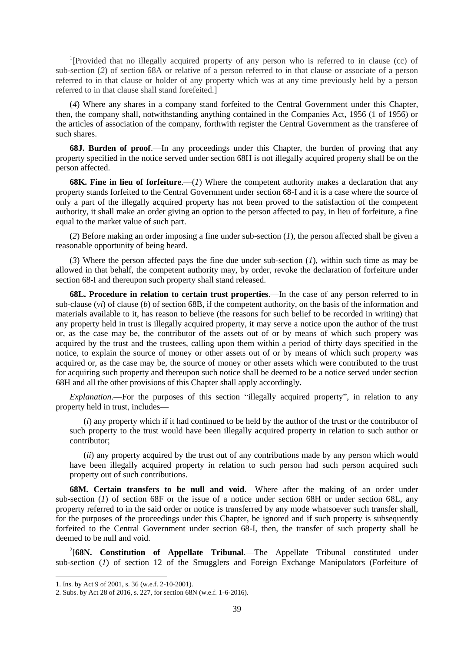<sup>1</sup>[Provided that no illegally acquired property of any person who is referred to in clause (cc) of sub-section (*2*) of section 68A or relative of a person referred to in that clause or associate of a person referred to in that clause or holder of any property which was at any time previously held by a person referred to in that clause shall stand forefeited.]

(*4*) Where any shares in a company stand forfeited to the Central Government under this Chapter, then, the company shall, notwithstanding anything contained in the Companies Act, 1956 (1 of 1956) or the articles of association of the company, forthwith register the Central Government as the transferee of such shares.

**68J. Burden of proof**.—In any proceedings under this Chapter, the burden of proving that any property specified in the notice served under section 68H is not illegally acquired property shall be on the person affected.

**68K. Fine in lieu of forfeiture.**—(*1*) Where the competent authority makes a declaration that any property stands forfeited to the Central Government under section 68-I and it is a case where the source of only a part of the illegally acquired property has not been proved to the satisfaction of the competent authority, it shall make an order giving an option to the person affected to pay, in lieu of forfeiture, a fine equal to the market value of such part.

(*2*) Before making an order imposing a fine under sub-section (*1*), the person affected shall be given a reasonable opportunity of being heard.

(*3*) Where the person affected pays the fine due under sub-section (*1*), within such time as may be allowed in that behalf, the competent authority may, by order, revoke the declaration of forfeiture under section 68-I and thereupon such property shall stand released.

**68L. Procedure in relation to certain trust properties**.—In the case of any person referred to in sub-clause (*vi*) of clause (*b*) of section 68B, if the competent authority, on the basis of the information and materials available to it, has reason to believe (the reasons for such belief to be recorded in writing) that any property held in trust is illegally acquired property, it may serve a notice upon the author of the trust or, as the case may be, the contributor of the assets out of or by means of which such propery was acquired by the trust and the trustees, calling upon them within a period of thirty days specified in the notice, to explain the source of money or other assets out of or by means of which such property was acquired or, as the case may be, the source of money or other assets which were contributed to the trust for acquiring such property and thereupon such notice shall be deemed to be a notice served under section 68H and all the other provisions of this Chapter shall apply accordingly.

*Explanation*.—For the purposes of this section "illegally acquired property", in relation to any property held in trust, includes—

(*i*) any property which if it had continued to be held by the author of the trust or the contributor of such property to the trust would have been illegally acquired property in relation to such author or contributor;

(*ii*) any property acquired by the trust out of any contributions made by any person which would have been illegally acquired property in relation to such person had such person acquired such property out of such contributions.

**68M. Certain transfers to be null and void**.—Where after the making of an order under sub-section (*1*) of section 68F or the issue of a notice under section 68H or under section 68L, any property referred to in the said order or notice is transferred by any mode whatsoever such transfer shall, for the purposes of the proceedings under this Chapter, be ignored and if such property is subsequently forfeited to the Central Government under section 68-I, then, the transfer of such property shall be deemed to be null and void.

<sup>2</sup>[68N. Constitution of Appellate Tribunal.—The Appellate Tribunal constituted under sub-section (*1*) of section 12 of the Smugglers and Foreign Exchange Manipulators (Forfeiture of

<sup>1.</sup> Ins. by Act 9 of 2001, s. 36 (w.e.f. 2-10-2001).

<sup>2.</sup> Subs. by Act 28 of 2016, s. 227, for section 68N (w.e.f. 1-6-2016).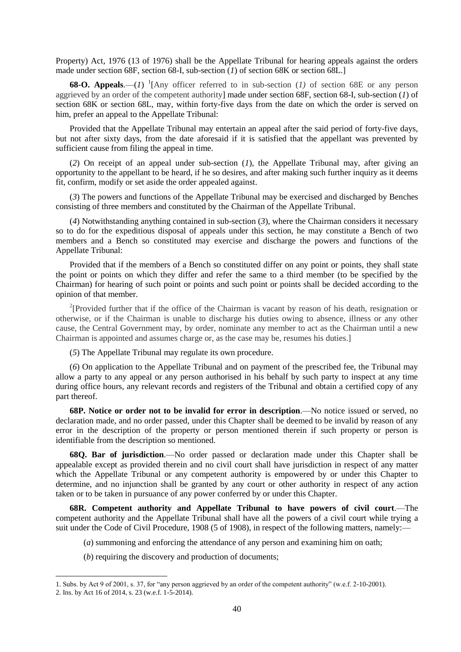Property) Act, 1976 (13 of 1976) shall be the Appellate Tribunal for hearing appeals against the orders made under section 68F, section 68-I, sub-section (*1*) of section 68K or section 68L.]

**68-O. Appeals.**—(*1*) <sup>1</sup>[Any officer referred to in sub-section (*1*) of section 68E or any person aggrieved by an order of the competent authority] made under section 68F, section 68-I, sub-section (*1*) of section 68K or section 68L, may, within forty-five days from the date on which the order is served on him, prefer an appeal to the Appellate Tribunal:

Provided that the Appellate Tribunal may entertain an appeal after the said period of forty-five days, but not after sixty days, from the date aforesaid if it is satisfied that the appellant was prevented by sufficient cause from filing the appeal in time.

(*2*) On receipt of an appeal under sub-section (*1*), the Appellate Tribunal may, after giving an opportunity to the appellant to be heard, if he so desires, and after making such further inquiry as it deems fit, confirm, modify or set aside the order appealed against.

(*3*) The powers and functions of the Appellate Tribunal may be exercised and discharged by Benches consisting of three members and constituted by the Chairman of the Appellate Tribunal.

(*4*) Notwithstanding anything contained in sub-section (*3*), where the Chairman considers it necessary so to do for the expeditious disposal of appeals under this section, he may constitute a Bench of two members and a Bench so constituted may exercise and discharge the powers and functions of the Appellate Tribunal:

Provided that if the members of a Bench so constituted differ on any point or points, they shall state the point or points on which they differ and refer the same to a third member (to be specified by the Chairman) for hearing of such point or points and such point or points shall be decided according to the opinion of that member.

<sup>2</sup>[Provided further that if the office of the Chairman is vacant by reason of his death, resignation or otherwise, or if the Chairman is unable to discharge his duties owing to absence, illness or any other cause, the Central Government may, by order, nominate any member to act as the Chairman until a new Chairman is appointed and assumes charge or, as the case may be, resumes his duties.]

(*5*) The Appellate Tribunal may regulate its own procedure.

(*6*) On application to the Appellate Tribunal and on payment of the prescribed fee, the Tribunal may allow a party to any appeal or any person authorised in his behalf by such party to inspect at any time during office hours, any relevant records and registers of the Tribunal and obtain a certified copy of any part thereof.

**68P. Notice or order not to be invalid for error in description**.—No notice issued or served, no declaration made, and no order passed, under this Chapter shall be deemed to be invalid by reason of any error in the description of the property or person mentioned therein if such property or person is identifiable from the description so mentioned.

**68Q. Bar of jurisdiction**.—No order passed or declaration made under this Chapter shall be appealable except as provided therein and no civil court shall have jurisdiction in respect of any matter which the Appellate Tribunal or any competent authority is empowered by or under this Chapter to determine, and no injunction shall be granted by any court or other authority in respect of any action taken or to be taken in pursuance of any power conferred by or under this Chapter.

**68R. Competent authority and Appellate Tribunal to have powers of civil court**.—The competent authority and the Appellate Tribunal shall have all the powers of a civil court while trying a suit under the Code of Civil Procedure, 1908 (5 of 1908), in respect of the following matters, namely:—

(*a*) summoning and enforcing the attendance of any person and examining him on oath;

(*b*) requiring the discovery and production of documents;

<sup>1.</sup> Subs. by Act 9 of 2001, s. 37, for "any person aggrieved by an order of the competent authority" (w.e.f. 2-10-2001).

<sup>2.</sup> Ins. by Act 16 of 2014, s. 23 (w.e.f. 1-5-2014).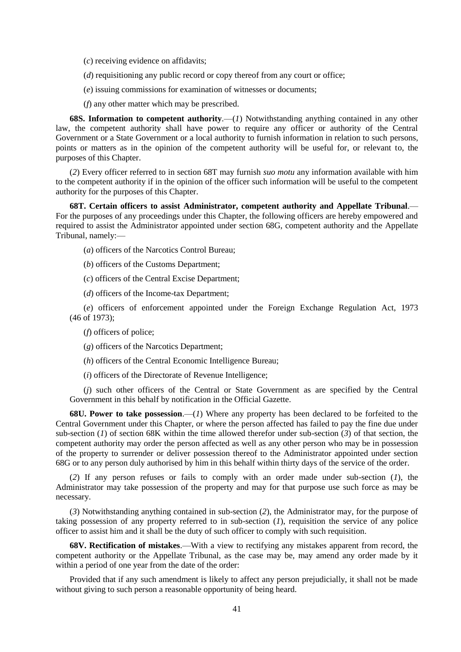(*c*) receiving evidence on affidavits;

(*d*) requisitioning any public record or copy thereof from any court or office;

(*e*) issuing commissions for examination of witnesses or documents;

(*f*) any other matter which may be prescribed.

**68S. Information to competent authority.**—(*1*) Notwithstanding anything contained in any other law, the competent authority shall have power to require any officer or authority of the Central Government or a State Government or a local authority to furnish information in relation to such persons, points or matters as in the opinion of the competent authority will be useful for, or relevant to, the purposes of this Chapter.

(*2*) Every officer referred to in section 68T may furnish *suo motu* any information available with him to the competent authority if in the opinion of the officer such information will be useful to the competent authority for the purposes of this Chapter.

**68T. Certain officers to assist Administrator, competent authority and Appellate Tribunal**.— For the purposes of any proceedings under this Chapter, the following officers are hereby empowered and required to assist the Administrator appointed under section 68G, competent authority and the Appellate Tribunal, namely:—

(*a*) officers of the Narcotics Control Bureau;

(*b*) officers of the Customs Department;

(*c*) officers of the Central Excise Department;

(*d*) officers of the Income-tax Department;

(*e*) officers of enforcement appointed under the Foreign Exchange Regulation Act, 1973 (46 of 1973);

(*f*) officers of police;

(*g*) officers of the Narcotics Department;

(*h*) officers of the Central Economic Intelligence Bureau;

(*i*) officers of the Directorate of Revenue Intelligence;

(*j*) such other officers of the Central or State Government as are specified by the Central Government in this behalf by notification in the Official Gazette.

**68U. Power to take possession**.—(*1*) Where any property has been declared to be forfeited to the Central Government under this Chapter, or where the person affected has failed to pay the fine due under sub-section (*1*) of section 68K within the time allowed therefor under sub-section (*3*) of that section, the competent authority may order the person affected as well as any other person who may be in possession of the property to surrender or deliver possession thereof to the Administrator appointed under section 68G or to any person duly authorised by him in this behalf within thirty days of the service of the order.

(*2*) If any person refuses or fails to comply with an order made under sub-section (*1*), the Administrator may take possession of the property and may for that purpose use such force as may be necessary.

(*3*) Notwithstanding anything contained in sub-section (*2*), the Administrator may, for the purpose of taking possession of any property referred to in sub-section  $(1)$ , requisition the service of any police officer to assist him and it shall be the duty of such officer to comply with such requisition.

**68V. Rectification of mistakes**.—With a view to rectifying any mistakes apparent from record, the competent authority or the Appellate Tribunal, as the case may be, may amend any order made by it within a period of one year from the date of the order:

Provided that if any such amendment is likely to affect any person prejudicially, it shall not be made without giving to such person a reasonable opportunity of being heard.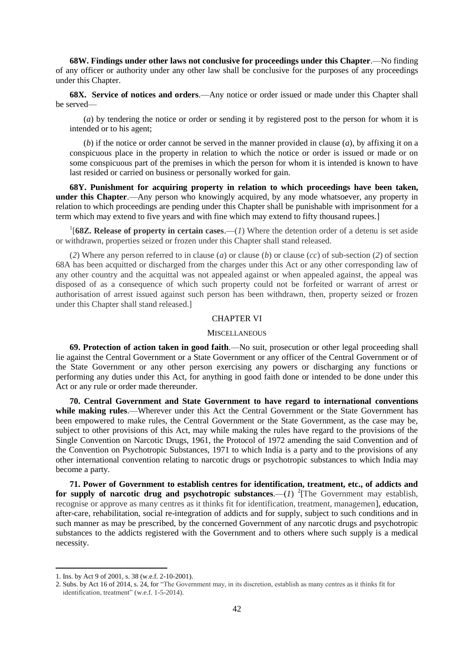**68W. Findings under other laws not conclusive for proceedings under this Chapter**.—No finding of any officer or authority under any other law shall be conclusive for the purposes of any proceedings under this Chapter.

**68X. Service of notices and orders**.—Any notice or order issued or made under this Chapter shall be served—

(*a*) by tendering the notice or order or sending it by registered post to the person for whom it is intended or to his agent;

(*b*) if the notice or order cannot be served in the manner provided in clause (*a*), by affixing it on a conspicuous place in the property in relation to which the notice or order is issued or made or on some conspicuous part of the premises in which the person for whom it is intended is known to have last resided or carried on business or personally worked for gain.

**68Y. Punishment for acquiring property in relation to which proceedings have been taken, under this Chapter**.—Any person who knowingly acquired, by any mode whatsoever, any property in relation to which proceedings are pending under this Chapter shall be punishable with imprisonment for a term which may extend to five years and with fine which may extend to fifty thousand rupees.]

<sup>1</sup>[68Z. Release of property in certain cases.—(*1*) Where the detention order of a detenu is set aside or withdrawn, properties seized or frozen under this Chapter shall stand released.

(*2*) Where any person referred to in clause (*a*) or clause (*b*) or clause (*cc*) of sub-section (*2*) of section 68A has been acquitted or discharged from the charges under this Act or any other corresponding law of any other country and the acquittal was not appealed against or when appealed against, the appeal was disposed of as a consequence of which such property could not be forfeited or warrant of arrest or authorisation of arrest issued against such person has been withdrawn, then, property seized or frozen under this Chapter shall stand released.]

## CHAPTER VI

#### **MISCELLANEOUS**

**69. Protection of action taken in good faith**.—No suit, prosecution or other legal proceeding shall lie against the Central Government or a State Government or any officer of the Central Government or of the State Government or any other person exercising any powers or discharging any functions or performing any duties under this Act, for anything in good faith done or intended to be done under this Act or any rule or order made thereunder.

**70. Central Government and State Government to have regard to international conventions while making rules**.—Wherever under this Act the Central Government or the State Government has been empowered to make rules, the Central Government or the State Government, as the case may be, subject to other provisions of this Act, may while making the rules have regard to the provisions of the Single Convention on Narcotic Drugs, 1961, the Protocol of 1972 amending the said Convention and of the Convention on Psychotropic Substances, 1971 to which India is a party and to the provisions of any other international convention relating to narcotic drugs or psychotropic substances to which India may become a party.

**71. Power of Government to establish centres for identification, treatment, etc., of addicts and**  for supply of narcotic drug and psychotropic substances.— $(I)$  <sup>2</sup> [The Government may establish, recognise or approve as many centres as it thinks fit for identification, treatment, managemen], education, after-care, rehabilitation, social re-integration of addicts and for supply, subject to such conditions and in such manner as may be prescribed, by the concerned Government of any narcotic drugs and psychotropic substances to the addicts registered with the Government and to others where such supply is a medical necessity.

<sup>1.</sup> Ins. by Act 9 of 2001, s. 38 (w.e.f. 2-10-2001).

<sup>2.</sup> Subs. by Act 16 of 2014, s. 24, for "The Government may, in its discretion, establish as many centres as it thinks fit for identification, treatment" (w.e.f. 1-5-2014).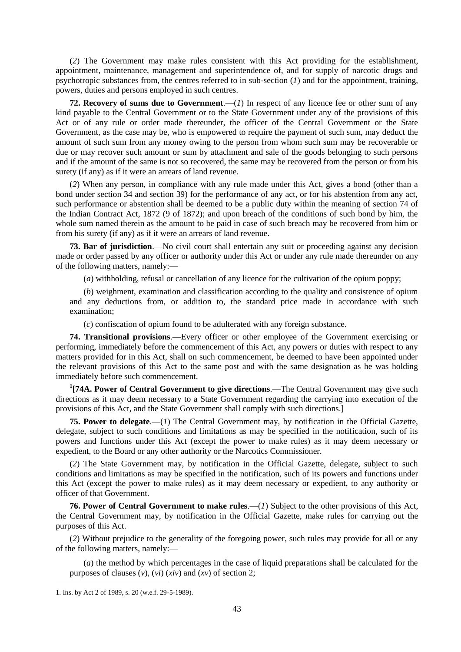(*2*) The Government may make rules consistent with this Act providing for the establishment, appointment, maintenance, management and superintendence of, and for supply of narcotic drugs and psychotropic substances from, the centres referred to in sub-section (*1*) and for the appointment, training, powers, duties and persons employed in such centres.

**72. Recovery of sums due to Government**.—(*1*) In respect of any licence fee or other sum of any kind payable to the Central Government or to the State Government under any of the provisions of this Act or of any rule or order made thereunder, the officer of the Central Government or the State Government, as the case may be, who is empowered to require the payment of such sum, may deduct the amount of such sum from any money owing to the person from whom such sum may be recoverable or due or may recover such amount or sum by attachment and sale of the goods belonging to such persons and if the amount of the same is not so recovered, the same may be recovered from the person or from his surety (if any) as if it were an arrears of land revenue.

(*2*) When any person, in compliance with any rule made under this Act, gives a bond (other than a bond under section 34 and section 39) for the performance of any act, or for his abstention from any act, such performance or abstention shall be deemed to be a public duty within the meaning of section 74 of the Indian Contract Act, 1872 (9 of 1872); and upon breach of the conditions of such bond by him, the whole sum named therein as the amount to be paid in case of such breach may be recovered from him or from his surety (if any) as if it were an arrears of land revenue.

**73. Bar of jurisdiction**.—No civil court shall entertain any suit or proceeding against any decision made or order passed by any officer or authority under this Act or under any rule made thereunder on any of the following matters, namely:—

(*a*) withholding, refusal or cancellation of any licence for the cultivation of the opium poppy;

(*b*) weighment, examination and classification according to the quality and consistence of opium and any deductions from, or addition to, the standard price made in accordance with such examination;

(*c*) confiscation of opium found to be adulterated with any foreign substance.

**74. Transitional provisions**.—Every officer or other employee of the Government exercising or performing, immediately before the commencement of this Act, any powers or duties with respect to any matters provided for in this Act, shall on such commencement, be deemed to have been appointed under the relevant provisions of this Act to the same post and with the same designation as he was holding immediately before such commencement.

**1 [74A. Power of Central Government to give directions**.—The Central Government may give such directions as it may deem necessary to a State Government regarding the carrying into execution of the provisions of this Act, and the State Government shall comply with such directions.]

**75. Power to delegate**.—(*1*) The Central Government may, by notification in the Official Gazette, delegate, subject to such conditions and limitations as may be specified in the notification, such of its powers and functions under this Act (except the power to make rules) as it may deem necessary or expedient, to the Board or any other authority or the Narcotics Commissioner.

(*2*) The State Government may, by notification in the Official Gazette, delegate, subject to such conditions and limitations as may be specified in the notification, such of its powers and functions under this Act (except the power to make rules) as it may deem necessary or expedient, to any authority or officer of that Government.

**76. Power of Central Government to make rules**.—(*1*) Subject to the other provisions of this Act, the Central Government may, by notification in the Official Gazette, make rules for carrying out the purposes of this Act.

(*2*) Without prejudice to the generality of the foregoing power, such rules may provide for all or any of the following matters, namely:—

(*a*) the method by which percentages in the case of liquid preparations shall be calculated for the purposes of clauses  $(v)$ ,  $(vi)$   $(xiv)$  and  $(xv)$  of section 2;

<sup>1.</sup> Ins. by Act 2 of 1989, s. 20 (w.e.f. 29-5-1989).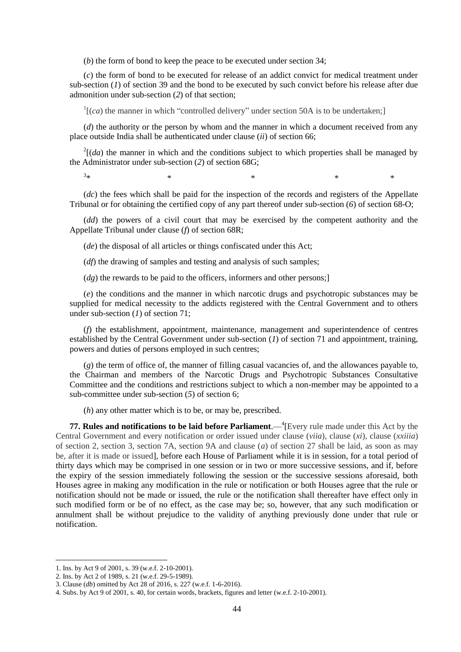(*b*) the form of bond to keep the peace to be executed under section 34;

(*c*) the form of bond to be executed for release of an addict convict for medical treatment under sub-section (*1*) of section 39 and the bond to be executed by such convict before his release after due admonition under sub-section (*2*) of that section;

 $\Gamma$ [(*ca*) the manner in which "controlled delivery" under section 50A is to be undertaken;]

(*d*) the authority or the person by whom and the manner in which a document received from any place outside India shall be authenticated under clause (*ii*) of section 66;

 $2[(da)$  the manner in which and the conditions subject to which properties shall be managed by the Administrator under sub-section (*2*) of section 68G;

 $3*$  $*$   $*$   $*$   $*$   $*$ 

(*dc*) the fees which shall be paid for the inspection of the records and registers of the Appellate Tribunal or for obtaining the certified copy of any part thereof under sub-section (*6*) of section 68-O;

(*dd*) the powers of a civil court that may be exercised by the competent authority and the Appellate Tribunal under clause (*f*) of section 68R;

(*de*) the disposal of all articles or things confiscated under this Act;

(*df*) the drawing of samples and testing and analysis of such samples;

 $(dq)$  the rewards to be paid to the officers, informers and other persons;

(*e*) the conditions and the manner in which narcotic drugs and psychotropic substances may be supplied for medical necessity to the addicts registered with the Central Government and to others under sub-section (*1*) of section 71;

(*f*) the establishment, appointment, maintenance, management and superintendence of centres established by the Central Government under sub-section (*1*) of section 71 and appointment, training, powers and duties of persons employed in such centres;

(*g*) the term of office of, the manner of filling casual vacancies of, and the allowances payable to, the Chairman and members of the Narcotic Drugs and Psychotropic Substances Consultative Committee and the conditions and restrictions subject to which a non-member may be appointed to a sub-committee under sub-section (*5*) of section 6;

(*h*) any other matter which is to be, or may be, prescribed.

**77. Rules and notifications to be laid before Parliament.**  $-$ <sup>4</sup> [Every rule made under this Act by the Central Government and every notification or order issued under clause (*viia*), clause (*xi*), clause (*xxiiia*) of section 2, section 3, section 7A, section 9A and clause (*a*) of section 27 shall be laid, as soon as may be, after it is made or issued], before each House of Parliament while it is in session, for a total period of thirty days which may be comprised in one session or in two or more successive sessions, and if, before the expiry of the session immediately following the session or the successive sessions aforesaid, both Houses agree in making any modification in the rule or notification or both Houses agree that the rule or notification should not be made or issued, the rule or the notification shall thereafter have effect only in such modified form or be of no effect, as the case may be; so, however, that any such modification or annulment shall be without prejudice to the validity of anything previously done under that rule or notification.

<sup>1.</sup> Ins. by Act 9 of 2001, s. 39 (w.e.f. 2-10-2001).

<sup>2.</sup> Ins. by Act 2 of 1989, s. 21 (w.e.f. 29-5-1989).

<sup>3.</sup> Clause (*db*) omitted by Act 28 of 2016, s. 227 (w.e.f. 1-6-2016).

<sup>4.</sup> Subs. by Act 9 of 2001, s. 40, for certain words, brackets, figures and letter (w.e.f. 2-10-2001).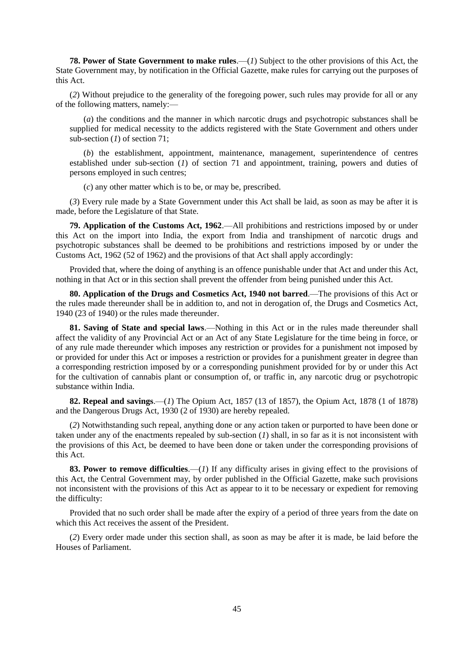**78. Power of State Government to make rules**.—(*1*) Subject to the other provisions of this Act, the State Government may, by notification in the Official Gazette, make rules for carrying out the purposes of this Act.

(*2*) Without prejudice to the generality of the foregoing power, such rules may provide for all or any of the following matters, namely:—

(*a*) the conditions and the manner in which narcotic drugs and psychotropic substances shall be supplied for medical necessity to the addicts registered with the State Government and others under sub-section (*1*) of section 71;

(*b*) the establishment, appointment, maintenance, management, superintendence of centres established under sub-section (*1*) of section 71 and appointment, training, powers and duties of persons employed in such centres;

(*c*) any other matter which is to be, or may be, prescribed.

(*3*) Every rule made by a State Government under this Act shall be laid, as soon as may be after it is made, before the Legislature of that State.

**79. Application of the Customs Act, 1962**.—All prohibitions and restrictions imposed by or under this Act on the import into India, the export from India and transhipment of narcotic drugs and psychotropic substances shall be deemed to be prohibitions and restrictions imposed by or under the Customs Act, 1962 (52 of 1962) and the provisions of that Act shall apply accordingly:

Provided that, where the doing of anything is an offence punishable under that Act and under this Act, nothing in that Act or in this section shall prevent the offender from being punished under this Act.

**80. Application of the Drugs and Cosmetics Act, 1940 not barred**.—The provisions of this Act or the rules made thereunder shall be in addition to, and not in derogation of, the Drugs and Cosmetics Act, 1940 (23 of 1940) or the rules made thereunder.

**81. Saving of State and special laws**.—Nothing in this Act or in the rules made thereunder shall affect the validity of any Provincial Act or an Act of any State Legislature for the time being in force, or of any rule made thereunder which imposes any restriction or provides for a punishment not imposed by or provided for under this Act or imposes a restriction or provides for a punishment greater in degree than a corresponding restriction imposed by or a corresponding punishment provided for by or under this Act for the cultivation of cannabis plant or consumption of, or traffic in, any narcotic drug or psychotropic substance within India.

**82. Repeal and savings**.—(*1*) The Opium Act, 1857 (13 of 1857), the Opium Act, 1878 (1 of 1878) and the Dangerous Drugs Act, 1930 (2 of 1930) are hereby repealed.

(*2*) Notwithstanding such repeal, anything done or any action taken or purported to have been done or taken under any of the enactments repealed by sub-section (*1*) shall, in so far as it is not inconsistent with the provisions of this Act, be deemed to have been done or taken under the corresponding provisions of this Act.

**83. Power to remove difficulties**.—(*1*) If any difficulty arises in giving effect to the provisions of this Act, the Central Government may, by order published in the Official Gazette, make such provisions not inconsistent with the provisions of this Act as appear to it to be necessary or expedient for removing the difficulty:

Provided that no such order shall be made after the expiry of a period of three years from the date on which this Act receives the assent of the President.

(*2*) Every order made under this section shall, as soon as may be after it is made, be laid before the Houses of Parliament.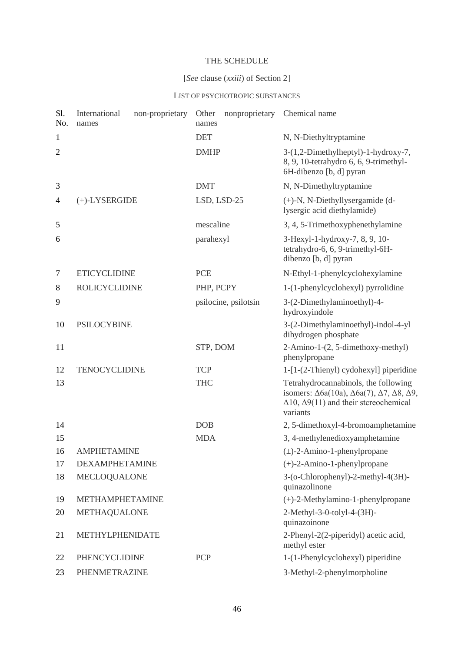# THE SCHEDULE

# [*See* clause (*xxiii*) of Section 2]

# LIST OF PSYCHOTROPIC SUBSTANCES

| S1.<br>No.     | International<br>non-proprietary<br>names | Other<br>nonproprietary<br>names | Chemical name                                                                                                                                                                                   |
|----------------|-------------------------------------------|----------------------------------|-------------------------------------------------------------------------------------------------------------------------------------------------------------------------------------------------|
| 1              |                                           | <b>DET</b>                       | N, N-Diethyltryptamine                                                                                                                                                                          |
| $\overline{2}$ |                                           | <b>DMHP</b>                      | 3-(1,2-Dimethylheptyl)-1-hydroxy-7,<br>8, 9, 10-tetrahydro 6, 6, 9-trimethyl-<br>6H-dibenzo [b, d] pyran                                                                                        |
| 3              |                                           | <b>DMT</b>                       | N, N-Dimethyltryptamine                                                                                                                                                                         |
| 4              | $(+)$ -LYSERGIDE                          | LSD, LSD-25                      | $(+)$ -N, N-Diethyllysergamide (d-<br>lysergic acid diethylamide)                                                                                                                               |
| 5              |                                           | mescaline                        | 3, 4, 5-Trimethoxyphenethylamine                                                                                                                                                                |
| 6              |                                           | parahexyl                        | 3-Hexyl-1-hydroxy-7, 8, 9, 10-<br>tetrahydro-6, 6, 9-trimethyl-6H-<br>dibenzo [b, d] pyran                                                                                                      |
| $\tau$         | <b>ETICYCLIDINE</b>                       | <b>PCE</b>                       | N-Ethyl-1-phenylcyclohexylamine                                                                                                                                                                 |
| 8              | <b>ROLICYCLIDINE</b>                      | PHP, PCPY                        | 1-(1-phenylcyclohexyl) pyrrolidine                                                                                                                                                              |
| 9              |                                           | psilocine, psilotsin             | 3-(2-Dimethylaminoethyl)-4-<br>hydroxyindole                                                                                                                                                    |
| 10             | <b>PSILOCYBINE</b>                        |                                  | 3-(2-Dimethylaminoethyl)-indol-4-yl<br>dihydrogen phosphate                                                                                                                                     |
| 11             |                                           | STP, DOM                         | 2-Amino-1-(2, 5-dimethoxy-methyl)<br>phenylpropane                                                                                                                                              |
| 12             | <b>TENOCYCLIDINE</b>                      | <b>TCP</b>                       | 1-[1-(2-Thienyl) cydohexyl] piperidine                                                                                                                                                          |
| 13             |                                           | <b>THC</b>                       | Tetrahydrocannabinols, the following<br>isomers: $\Delta 6a(10a)$ , $\Delta 6a(7)$ , $\Delta 7$ , $\Delta 8$ , $\Delta 9$ ,<br>$\Delta$ 10, $\Delta$ 9(11) and their stcreochemical<br>variants |
| 14             |                                           | <b>DOB</b>                       | 2, 5-dimethoxyl-4-bromoamphetamine                                                                                                                                                              |
| 15             |                                           | <b>MDA</b>                       | 3, 4-methylenedioxyamphetamine                                                                                                                                                                  |
| 16             | <b>AMPHETAMINE</b>                        |                                  | $(\pm)$ -2-Amino-1-phenylpropane                                                                                                                                                                |
| 17             | <b>DEXAMPHETAMINE</b>                     |                                  | $(+)$ -2-Amino-1-phenylpropane                                                                                                                                                                  |
| 18             | MECLOQUALONE                              |                                  | 3-(o-Chlorophenyl)-2-methyl-4(3H)-<br>quinazolinone                                                                                                                                             |
| 19             | <b>METHAMPHETAMINE</b>                    |                                  | $(+)$ -2-Methylamino-1-phenylpropane                                                                                                                                                            |
| 20             | METHAQUALONE                              |                                  | 2-Methyl-3-0-tolyl-4-(3H)-<br>quinazoinone                                                                                                                                                      |
| 21             | METHYLPHENIDATE                           |                                  | 2-Phenyl-2(2-piperidyl) acetic acid,<br>methyl ester                                                                                                                                            |
| 22             | PHENCYCLIDINE                             | PCP                              | 1-(1-Phenylcyclohexyl) piperidine                                                                                                                                                               |
| 23             | PHENMETRAZINE                             |                                  | 3-Methyl-2-phenylmorpholine                                                                                                                                                                     |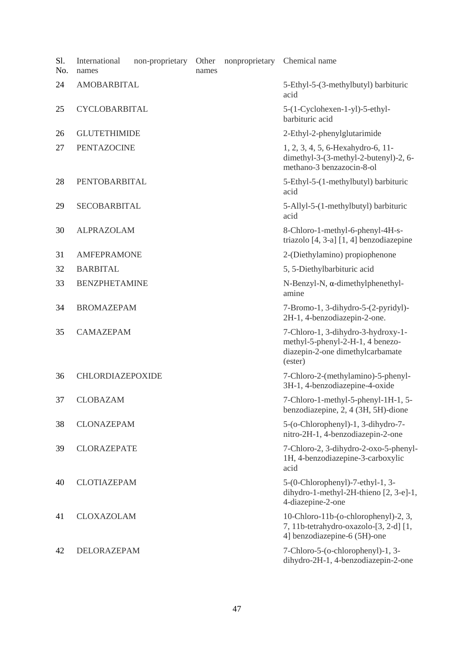| Sl.<br>No. | International<br>names | non-proprietary | Other<br>names                                    | nonproprietary | Chemical name                                                                                                         |
|------------|------------------------|-----------------|---------------------------------------------------|----------------|-----------------------------------------------------------------------------------------------------------------------|
| 24         | <b>AMOBARBITAL</b>     |                 |                                                   |                | 5-Ethyl-5-(3-methylbutyl) barbituric<br>acid                                                                          |
| 25         | CYCLOBARBITAL          |                 | 5-(1-Cyclohexen-1-yl)-5-ethyl-<br>barbituric acid |                |                                                                                                                       |
| 26         | <b>GLUTETHIMIDE</b>    |                 |                                                   |                | 2-Ethyl-2-phenylglutarimide                                                                                           |
| 27         | <b>PENTAZOCINE</b>     |                 |                                                   |                | 1, 2, 3, 4, 5, 6-Hexahydro-6, 11-<br>dimethyl-3-(3-methyl-2-butenyl)-2, 6-<br>methano-3 benzazocin-8-ol               |
| 28         | PENTOBARBITAL          |                 |                                                   |                | 5-Ethyl-5-(1-methylbutyl) barbituric<br>acid                                                                          |
| 29         | SECOBARBITAL           |                 |                                                   |                | 5-Allyl-5-(1-methylbutyl) barbituric<br>acid                                                                          |
| 30         | <b>ALPRAZOLAM</b>      |                 |                                                   |                | 8-Chloro-1-methyl-6-phenyl-4H-s-<br>triazolo $[4, 3-a]$ $[1, 4]$ benzodiazepine                                       |
| 31         | <b>AMFEPRAMONE</b>     |                 |                                                   |                | 2-(Diethylamino) propiophenone                                                                                        |
| 32         | <b>BARBITAL</b>        |                 |                                                   |                | 5, 5-Diethylbarbituric acid                                                                                           |
| 33         | <b>BENZPHETAMINE</b>   |                 |                                                   |                | N-Benzyl-N, $\alpha$ -dimethylphenethyl-<br>amine                                                                     |
| 34         | <b>BROMAZEPAM</b>      |                 |                                                   |                | 7-Bromo-1, 3-dihydro-5-(2-pyridyl)-<br>2H-1, 4-benzodiazepin-2-one.                                                   |
| 35         | <b>CAMAZEPAM</b>       |                 |                                                   |                | 7-Chloro-1, 3-dihydro-3-hydroxy-1-<br>methyl-5-phenyl-2-H-1, 4 benezo-<br>diazepin-2-one dimethylcarbamate<br>(ester) |
| 36         | CHLORDIAZEPOXIDE       |                 |                                                   |                | 7-Chloro-2-(methylamino)-5-phenyl-<br>3H-1, 4-benzodiazepine-4-oxide                                                  |
| 37         | <b>CLOBAZAM</b>        |                 |                                                   |                | 7-Chloro-1-methyl-5-phenyl-1H-1, 5-<br>benzodiazepine, 2, 4 (3H, 5H)-dione                                            |
| 38         | <b>CLONAZEPAM</b>      |                 |                                                   |                | 5-(o-Chlorophenyl)-1, 3-dihydro-7-<br>nitro-2H-1, 4-benzodiazepin-2-one                                               |
| 39         | <b>CLORAZEPATE</b>     |                 |                                                   |                | 7-Chloro-2, 3-dihydro-2-oxo-5-phenyl-<br>1H, 4-benzodiazepine-3-carboxylic<br>acid                                    |
| 40         | <b>CLOTIAZEPAM</b>     |                 |                                                   |                | $5-(0-Chlorophenyl) - 7-ethyl-1, 3-$<br>dihydro-1-methyl-2H-thieno [2, 3-e]-1,<br>4-diazepine-2-one                   |
| 41         | <b>CLOXAZOLAM</b>      |                 |                                                   |                | 10-Chloro-11b-(o-chlorophenyl)-2, 3,<br>7, 11b-tetrahydro-oxazolo-[3, 2-d] [1,<br>4] benzodiazepine-6 (5H)-one        |
| 42         | DELORAZEPAM            |                 |                                                   |                | 7-Chloro-5-(o-chlorophenyl)-1, 3-<br>dihydro-2H-1, 4-benzodiazepin-2-one                                              |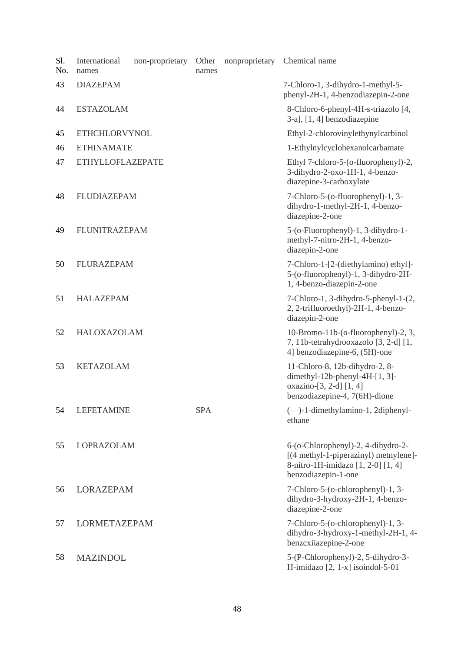| Sl.<br>No. | International<br>names  | non-proprietary | Other<br>names | nonproprietary | Chemical name                                                                                                                            |
|------------|-------------------------|-----------------|----------------|----------------|------------------------------------------------------------------------------------------------------------------------------------------|
| 43         | <b>DIAZEPAM</b>         |                 |                |                | 7-Chloro-1, 3-dihydro-1-methyl-5-<br>phenyl-2H-1, 4-benzodiazepin-2-one                                                                  |
| 44         | <b>ESTAZOLAM</b>        |                 |                |                | 8-Chloro-6-phenyl-4H-s-triazolo [4,<br>$3-a$ ], $[1, 4]$ benzodiazepine                                                                  |
| 45         | <b>ETHCHLORVYNOL</b>    |                 |                |                | Ethyl-2-chlorovinylethynylcarbinol                                                                                                       |
| 46         | <b>ETHINAMATE</b>       |                 |                |                | 1-Ethylnylcyclohexanolcarbamate                                                                                                          |
| 47         | <b>ETHYLLOFLAZEPATE</b> |                 |                |                | Ethyl 7-chloro-5-(o-fluorophenyl)-2,<br>3-dihydro-2-oxo-1H-1, 4-benzo-<br>diazepine-3-carboxylate                                        |
| 48         | <b>FLUDIAZEPAM</b>      |                 |                |                | 7-Chloro-5-(o-fluorophenyl)-1, 3-<br>dihydro-1-methyl-2H-1, 4-benzo-<br>diazepine-2-one                                                  |
| 49         | <b>FLUNITRAZEPAM</b>    |                 |                |                | 5-(o-Fluorophenyl)-1, 3-dihydro-1-<br>methyl-7-nitro-2H-1, 4-benzo-<br>diazepin-2-one                                                    |
| 50         | <b>FLURAZEPAM</b>       |                 |                |                | 7-Chloro-1-[2-(diethylamino) ethyl]-<br>5-(o-fluorophenyl)-1, 3-dihydro-2H-<br>1, 4-benzo-diazepin-2-one                                 |
| 51         | <b>HALAZEPAM</b>        |                 |                |                | 7-Chloro-1, 3-dihydro-5-phenyl-1-(2,<br>2, 2-trifluoroethyl)-2H-1, 4-benzo-<br>diazepin-2-one                                            |
| 52         | HALOXAZOLAM             |                 |                |                | 10-Bromo-11b-(o-fluorophenyl)-2, 3,<br>7, 11b-tetrahydrooxazolo [3, 2-d] [1,<br>4] benzodiazepine-6, (5H)-one                            |
| 53         | <b>KETAZOLAM</b>        |                 |                |                | 11-Chloro-8, 12b-dihydro-2, 8-<br>dimethyl-12b-phenyl-4H- $[1, 3]$ -<br>oxazino-[3, 2-d] [1, 4]<br>benzodiazepine-4, 7(6H)-dione         |
| 54         | <b>LEFETAMINE</b>       |                 | <b>SPA</b>     |                | (-)-1-dimethylamino-1, 2diphenyl-<br>ethane                                                                                              |
| 55         | LOPRAZOLAM              |                 |                |                | 6-(o-Chlorophenyl)-2, 4-dihydro-2-<br>[(4 methyl-1-piperazinyl) metnylene]-<br>8-nitro-1H-imidazo [1, 2-0] [1, 4]<br>benzodiazepin-1-one |
| 56         | <b>LORAZEPAM</b>        |                 |                |                | 7-Chloro-5-(o-chlorophenyl)-1, 3-<br>dihydro-3-hydroxy-2H-1, 4-benzo-<br>diazepine-2-one                                                 |
| 57         | LORMETAZEPAM            |                 |                |                | 7-Chloro-5-(o-chlorophenyl)-1, 3-<br>dihydro-3-hydroxy-1-methyl-2H-1, 4-<br>benzcxiiazepine-2-one                                        |
| 58         | <b>MAZINDOL</b>         |                 |                |                | 5-(P-Chlorophenyl)-2, 5-dihydro-3-<br>H-imidazo $[2, 1-x]$ isoindol-5-01                                                                 |